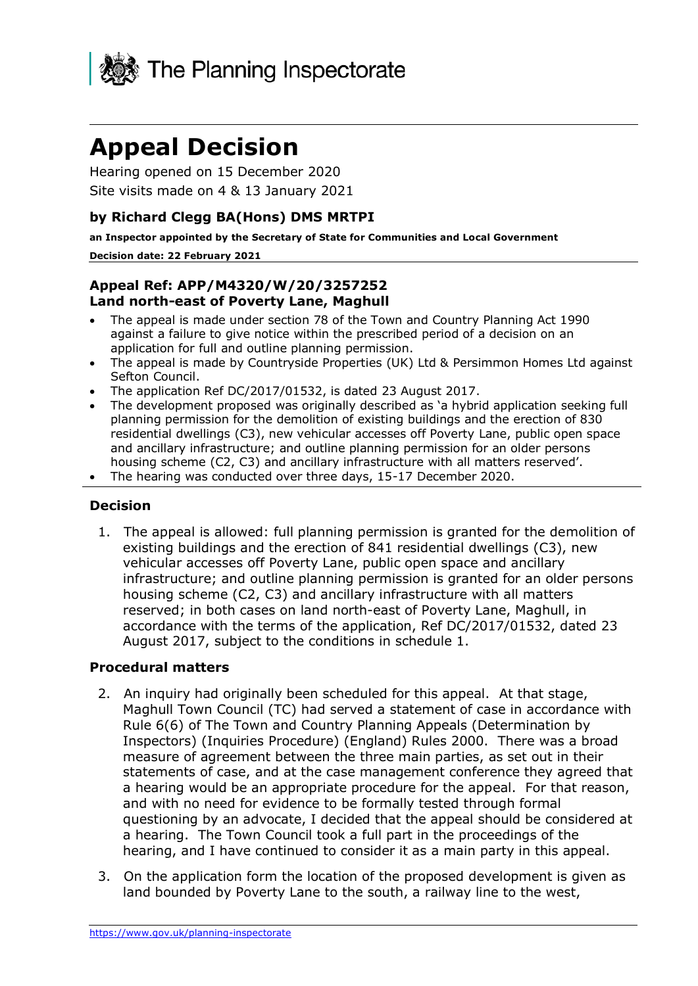

# **Appeal Decision**

Hearing opened on 15 December 2020 Site visits made on 4 & 13 January 2021

# **by Richard Clegg BA(Hons) DMS MRTPI**

**an Inspector appointed by the Secretary of State for Communities and Local Government**

#### **Decision date: 22 February 2021**

## **Appeal Ref: APP/M4320/W/20/3257252 Land north-east of Poverty Lane, Maghull**

- The appeal is made under section 78 of the Town and Country Planning Act 1990 against a failure to give notice within the prescribed period of a decision on an application for full and outline planning permission.
- The appeal is made by Countryside Properties (UK) Ltd & Persimmon Homes Ltd against Sefton Council.
- The application Ref DC/2017/01532, is dated 23 August 2017.
- The development proposed was originally described as 'a hybrid application seeking full planning permission for the demolition of existing buildings and the erection of 830 residential dwellings (C3), new vehicular accesses off Poverty Lane, public open space and ancillary infrastructure; and outline planning permission for an older persons housing scheme (C2, C3) and ancillary infrastructure with all matters reserved'.
- The hearing was conducted over three days, 15-17 December 2020.

## **Decision**

1. The appeal is allowed: full planning permission is granted for the demolition of existing buildings and the erection of 841 residential dwellings (C3), new vehicular accesses off Poverty Lane, public open space and ancillary infrastructure; and outline planning permission is granted for an older persons housing scheme (C2, C3) and ancillary infrastructure with all matters reserved; in both cases on land north-east of Poverty Lane, Maghull, in accordance with the terms of the application, Ref DC/2017/01532, dated 23 August 2017, subject to the conditions in schedule 1.

## **Procedural matters**

- 2. An inquiry had originally been scheduled for this appeal. At that stage, Maghull Town Council (TC) had served a statement of case in accordance with Rule 6(6) of The Town and Country Planning Appeals (Determination by Inspectors) (Inquiries Procedure) (England) Rules 2000. There was a broad measure of agreement between the three main parties, as set out in their statements of case, and at the case management conference they agreed that a hearing would be an appropriate procedure for the appeal. For that reason, and with no need for evidence to be formally tested through formal questioning by an advocate, I decided that the appeal should be considered at a hearing. The Town Council took a full part in the proceedings of the hearing, and I have continued to consider it as a main party in this appeal.
- 3. On the application form the location of the proposed development is given as land bounded by Poverty Lane to the south, a railway line to the west,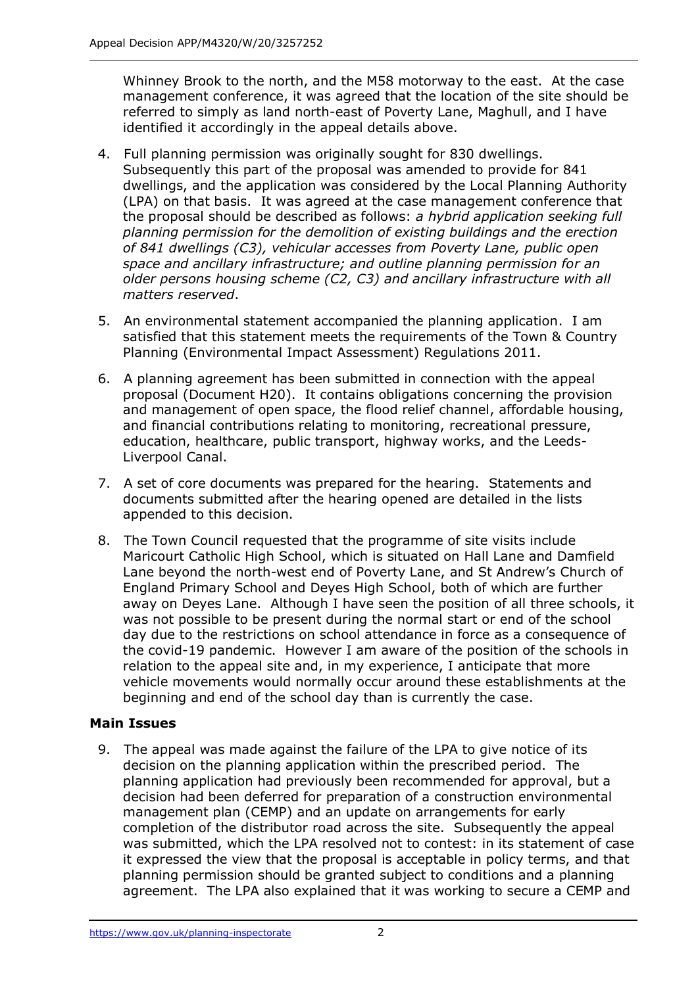Whinney Brook to the north, and the M58 motorway to the east. At the case management conference, it was agreed that the location of the site should be referred to simply as land north-east of Poverty Lane, Maghull, and I have identified it accordingly in the appeal details above.

- 4. Full planning permission was originally sought for 830 dwellings. Subsequently this part of the proposal was amended to provide for 841 dwellings, and the application was considered by the Local Planning Authority (LPA) on that basis. It was agreed at the case management conference that the proposal should be described as follows: *a hybrid application seeking full planning permission for the demolition of existing buildings and the erection of 841 dwellings (C3), vehicular accesses from Poverty Lane, public open space and ancillary infrastructure; and outline planning permission for an older persons housing scheme (C2, C3) and ancillary infrastructure with all matters reserved*.
- 5. An environmental statement accompanied the planning application. I am satisfied that this statement meets the requirements of the Town & Country Planning (Environmental Impact Assessment) Regulations 2011.
- 6. A planning agreement has been submitted in connection with the appeal proposal (Document H20). It contains obligations concerning the provision and management of open space, the flood relief channel, affordable housing, and financial contributions relating to monitoring, recreational pressure, education, healthcare, public transport, highway works, and the Leeds-Liverpool Canal.
- 7. A set of core documents was prepared for the hearing. Statements and documents submitted after the hearing opened are detailed in the lists appended to this decision.
- 8. The Town Council requested that the programme of site visits include Maricourt Catholic High School, which is situated on Hall Lane and Damfield Lane beyond the north-west end of Poverty Lane, and St Andrew's Church of England Primary School and Deyes High School, both of which are further away on Deyes Lane. Although I have seen the position of all three schools, it was not possible to be present during the normal start or end of the school day due to the restrictions on school attendance in force as a consequence of the covid-19 pandemic. However I am aware of the position of the schools in relation to the appeal site and, in my experience, I anticipate that more vehicle movements would normally occur around these establishments at the beginning and end of the school day than is currently the case.

# **Main Issues**

9. The appeal was made against the failure of the LPA to give notice of its decision on the planning application within the prescribed period. The planning application had previously been recommended for approval, but a decision had been deferred for preparation of a construction environmental management plan (CEMP) and an update on arrangements for early completion of the distributor road across the site. Subsequently the appeal was submitted, which the LPA resolved not to contest: in its statement of case it expressed the view that the proposal is acceptable in policy terms, and that planning permission should be granted subject to conditions and a planning agreement. The LPA also explained that it was working to secure a CEMP and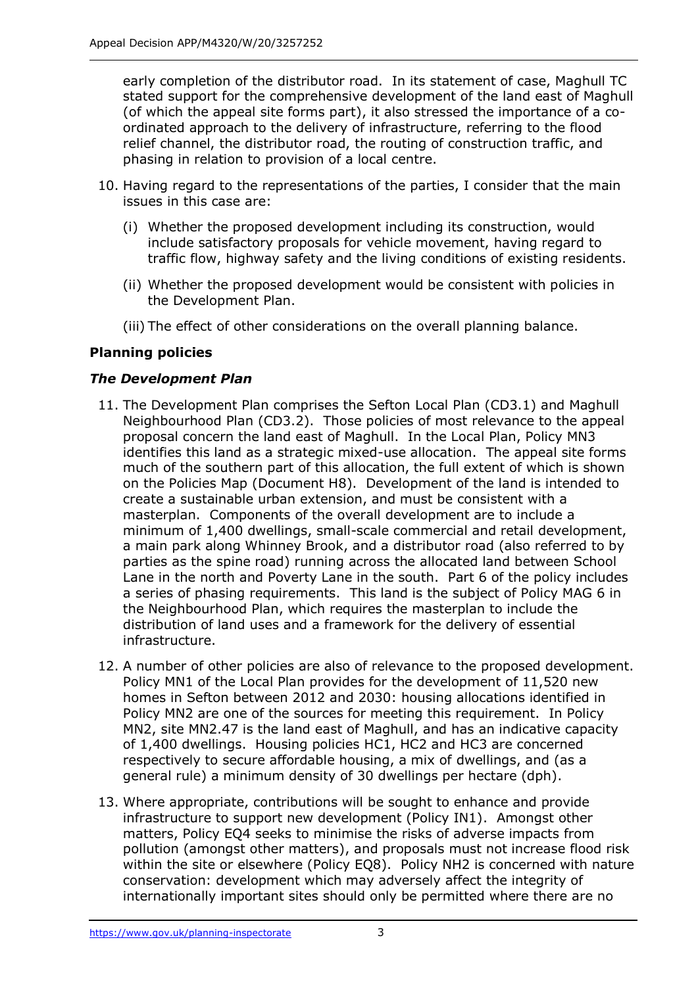early completion of the distributor road. In its statement of case, Maghull TC stated support for the comprehensive development of the land east of Maghull (of which the appeal site forms part), it also stressed the importance of a coordinated approach to the delivery of infrastructure, referring to the flood relief channel, the distributor road, the routing of construction traffic, and phasing in relation to provision of a local centre.

- 10. Having regard to the representations of the parties, I consider that the main issues in this case are:
	- (i) Whether the proposed development including its construction, would include satisfactory proposals for vehicle movement, having regard to traffic flow, highway safety and the living conditions of existing residents.
	- (ii) Whether the proposed development would be consistent with policies in the Development Plan.
	- (iii) The effect of other considerations on the overall planning balance.

# **Planning policies**

# *The Development Plan*

- 11. The Development Plan comprises the Sefton Local Plan (CD3.1) and Maghull Neighbourhood Plan (CD3.2). Those policies of most relevance to the appeal proposal concern the land east of Maghull. In the Local Plan, Policy MN3 identifies this land as a strategic mixed-use allocation. The appeal site forms much of the southern part of this allocation, the full extent of which is shown on the Policies Map (Document H8). Development of the land is intended to create a sustainable urban extension, and must be consistent with a masterplan. Components of the overall development are to include a minimum of 1,400 dwellings, small-scale commercial and retail development, a main park along Whinney Brook, and a distributor road (also referred to by parties as the spine road) running across the allocated land between School Lane in the north and Poverty Lane in the south. Part 6 of the policy includes a series of phasing requirements. This land is the subject of Policy MAG 6 in the Neighbourhood Plan, which requires the masterplan to include the distribution of land uses and a framework for the delivery of essential infrastructure.
- 12. A number of other policies are also of relevance to the proposed development. Policy MN1 of the Local Plan provides for the development of 11,520 new homes in Sefton between 2012 and 2030: housing allocations identified in Policy MN2 are one of the sources for meeting this requirement. In Policy MN2, site MN2.47 is the land east of Maghull, and has an indicative capacity of 1,400 dwellings. Housing policies HC1, HC2 and HC3 are concerned respectively to secure affordable housing, a mix of dwellings, and (as a general rule) a minimum density of 30 dwellings per hectare (dph).
- 13. Where appropriate, contributions will be sought to enhance and provide infrastructure to support new development (Policy IN1). Amongst other matters, Policy EQ4 seeks to minimise the risks of adverse impacts from pollution (amongst other matters), and proposals must not increase flood risk within the site or elsewhere (Policy EQ8). Policy NH2 is concerned with nature conservation: development which may adversely affect the integrity of internationally important sites should only be permitted where there are no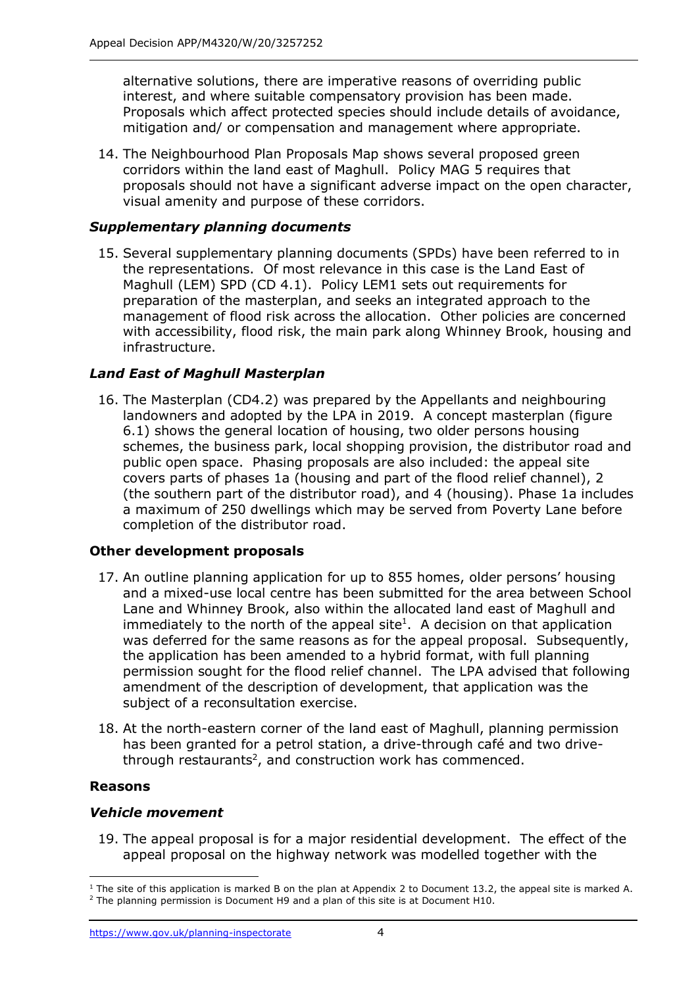alternative solutions, there are imperative reasons of overriding public interest, and where suitable compensatory provision has been made. Proposals which affect protected species should include details of avoidance, mitigation and/ or compensation and management where appropriate.

14. The Neighbourhood Plan Proposals Map shows several proposed green corridors within the land east of Maghull. Policy MAG 5 requires that proposals should not have a significant adverse impact on the open character, visual amenity and purpose of these corridors.

# *Supplementary planning documents*

15. Several supplementary planning documents (SPDs) have been referred to in the representations. Of most relevance in this case is the Land East of Maghull (LEM) SPD (CD 4.1). Policy LEM1 sets out requirements for preparation of the masterplan, and seeks an integrated approach to the management of flood risk across the allocation. Other policies are concerned with accessibility, flood risk, the main park along Whinney Brook, housing and infrastructure.

# *Land East of Maghull Masterplan*

16. The Masterplan (CD4.2) was prepared by the Appellants and neighbouring landowners and adopted by the LPA in 2019. A concept masterplan (figure 6.1) shows the general location of housing, two older persons housing schemes, the business park, local shopping provision, the distributor road and public open space. Phasing proposals are also included: the appeal site covers parts of phases 1a (housing and part of the flood relief channel), 2 (the southern part of the distributor road), and 4 (housing). Phase 1a includes a maximum of 250 dwellings which may be served from Poverty Lane before completion of the distributor road.

## **Other development proposals**

- 17. An outline planning application for up to 855 homes, older persons' housing and a mixed-use local centre has been submitted for the area between School Lane and Whinney Brook, also within the allocated land east of Maghull and immediately to the north of the appeal site<sup>1</sup>. A decision on that application was deferred for the same reasons as for the appeal proposal. Subsequently, the application has been amended to a hybrid format, with full planning permission sought for the flood relief channel. The LPA advised that following amendment of the description of development, that application was the subject of a reconsultation exercise.
- 18. At the north-eastern corner of the land east of Maghull, planning permission has been granted for a petrol station, a drive-through café and two drivethrough restaurants<sup>2</sup>, and construction work has commenced.

#### **Reasons**

## *Vehicle movement*

19. The appeal proposal is for a major residential development. The effect of the appeal proposal on the highway network was modelled together with the

 $1$  The site of this application is marked B on the plan at Appendix 2 to Document 13.2, the appeal site is marked A. <sup>2</sup> The planning permission is Document H9 and a plan of this site is at Document H10.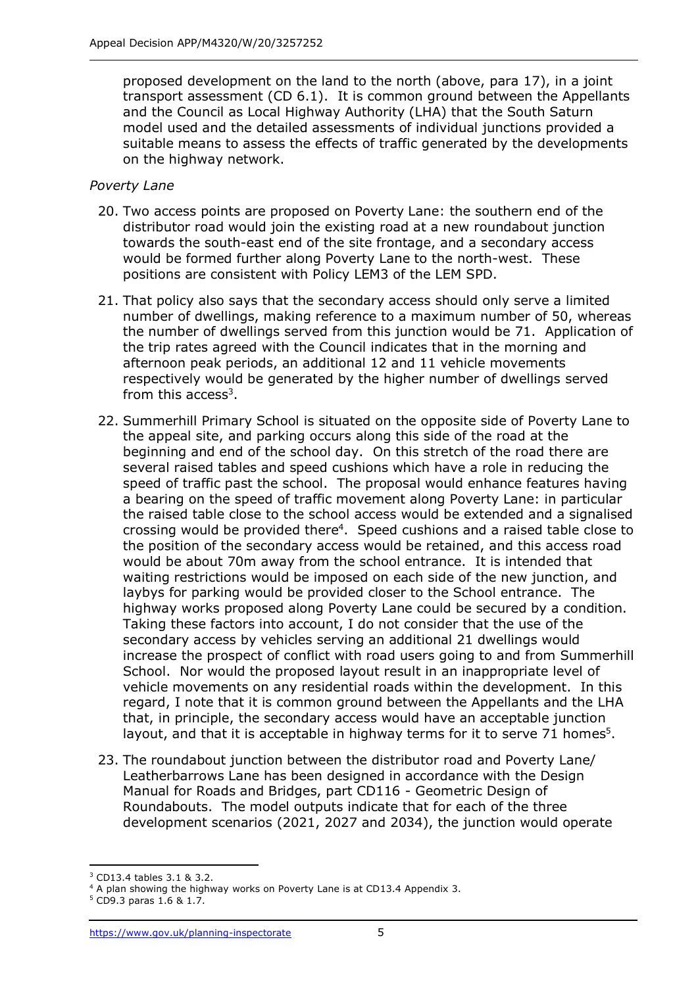proposed development on the land to the north (above, para 17), in a joint transport assessment (CD 6.1). It is common ground between the Appellants and the Council as Local Highway Authority (LHA) that the South Saturn model used and the detailed assessments of individual junctions provided a suitable means to assess the effects of traffic generated by the developments on the highway network.

## *Poverty Lane*

- 20. Two access points are proposed on Poverty Lane: the southern end of the distributor road would join the existing road at a new roundabout junction towards the south-east end of the site frontage, and a secondary access would be formed further along Poverty Lane to the north-west. These positions are consistent with Policy LEM3 of the LEM SPD.
- 21. That policy also says that the secondary access should only serve a limited number of dwellings, making reference to a maximum number of 50, whereas the number of dwellings served from this junction would be 71. Application of the trip rates agreed with the Council indicates that in the morning and afternoon peak periods, an additional 12 and 11 vehicle movements respectively would be generated by the higher number of dwellings served from this access<sup>3</sup>.
- 22. Summerhill Primary School is situated on the opposite side of Poverty Lane to the appeal site, and parking occurs along this side of the road at the beginning and end of the school day. On this stretch of the road there are several raised tables and speed cushions which have a role in reducing the speed of traffic past the school. The proposal would enhance features having a bearing on the speed of traffic movement along Poverty Lane: in particular the raised table close to the school access would be extended and a signalised crossing would be provided there<sup>4</sup>. Speed cushions and a raised table close to the position of the secondary access would be retained, and this access road would be about 70m away from the school entrance. It is intended that waiting restrictions would be imposed on each side of the new junction, and laybys for parking would be provided closer to the School entrance. The highway works proposed along Poverty Lane could be secured by a condition. Taking these factors into account, I do not consider that the use of the secondary access by vehicles serving an additional 21 dwellings would increase the prospect of conflict with road users going to and from Summerhill School. Nor would the proposed layout result in an inappropriate level of vehicle movements on any residential roads within the development. In this regard, I note that it is common ground between the Appellants and the LHA that, in principle, the secondary access would have an acceptable junction layout, and that it is acceptable in highway terms for it to serve 71 homes<sup>5</sup>.
- 23. The roundabout junction between the distributor road and Poverty Lane/ Leatherbarrows Lane has been designed in accordance with the Design Manual for Roads and Bridges, part CD116 - Geometric Design of Roundabouts. The model outputs indicate that for each of the three development scenarios (2021, 2027 and 2034), the junction would operate

<sup>3</sup> CD13.4 tables 3.1 & 3.2.

<sup>&</sup>lt;sup>4</sup> A plan showing the highway works on Poverty Lane is at CD13.4 Appendix 3.

<sup>5</sup> CD9.3 paras 1.6 & 1.7.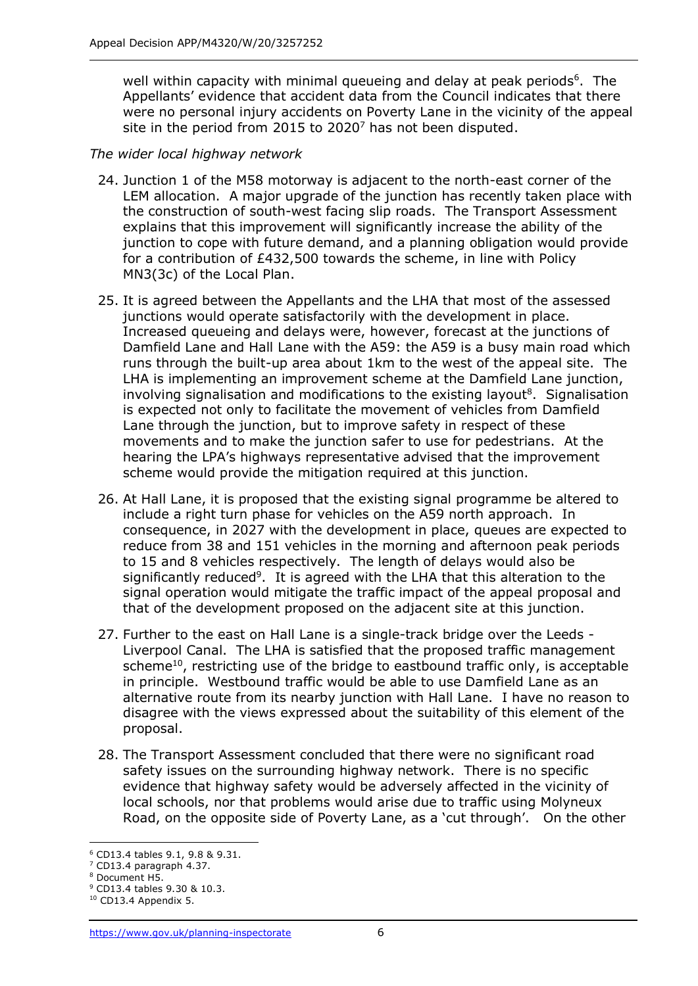well within capacity with minimal queueing and delay at peak periods<sup>6</sup>. The Appellants' evidence that accident data from the Council indicates that there were no personal injury accidents on Poverty Lane in the vicinity of the appeal site in the period from 2015 to  $2020<sup>7</sup>$  has not been disputed.

# *The wider local highway network*

- 24. Junction 1 of the M58 motorway is adjacent to the north-east corner of the LEM allocation. A major upgrade of the junction has recently taken place with the construction of south-west facing slip roads. The Transport Assessment explains that this improvement will significantly increase the ability of the junction to cope with future demand, and a planning obligation would provide for a contribution of £432,500 towards the scheme, in line with Policy MN3(3c) of the Local Plan.
- 25. It is agreed between the Appellants and the LHA that most of the assessed junctions would operate satisfactorily with the development in place. Increased queueing and delays were, however, forecast at the junctions of Damfield Lane and Hall Lane with the A59: the A59 is a busy main road which runs through the built-up area about 1km to the west of the appeal site. The LHA is implementing an improvement scheme at the Damfield Lane junction, involving signalisation and modifications to the existing layout<sup>8</sup>. Signalisation is expected not only to facilitate the movement of vehicles from Damfield Lane through the junction, but to improve safety in respect of these movements and to make the junction safer to use for pedestrians. At the hearing the LPA's highways representative advised that the improvement scheme would provide the mitigation required at this junction.
- 26. At Hall Lane, it is proposed that the existing signal programme be altered to include a right turn phase for vehicles on the A59 north approach. In consequence, in 2027 with the development in place, queues are expected to reduce from 38 and 151 vehicles in the morning and afternoon peak periods to 15 and 8 vehicles respectively. The length of delays would also be significantly reduced<sup>9</sup>. It is agreed with the LHA that this alteration to the signal operation would mitigate the traffic impact of the appeal proposal and that of the development proposed on the adjacent site at this junction.
- 27. Further to the east on Hall Lane is a single-track bridge over the Leeds Liverpool Canal. The LHA is satisfied that the proposed traffic management scheme<sup>10</sup>, restricting use of the bridge to eastbound traffic only, is acceptable in principle. Westbound traffic would be able to use Damfield Lane as an alternative route from its nearby junction with Hall Lane. I have no reason to disagree with the views expressed about the suitability of this element of the proposal.
- 28. The Transport Assessment concluded that there were no significant road safety issues on the surrounding highway network. There is no specific evidence that highway safety would be adversely affected in the vicinity of local schools, nor that problems would arise due to traffic using Molyneux Road, on the opposite side of Poverty Lane, as a 'cut through'. On the other

<sup>6</sup> CD13.4 tables 9.1, 9.8 & 9.31.

<sup>7</sup> CD13.4 paragraph 4.37.

<sup>8</sup> Document H5.

<sup>9</sup> CD13.4 tables 9.30 & 10.3.  $10$  CD13.4 Appendix 5.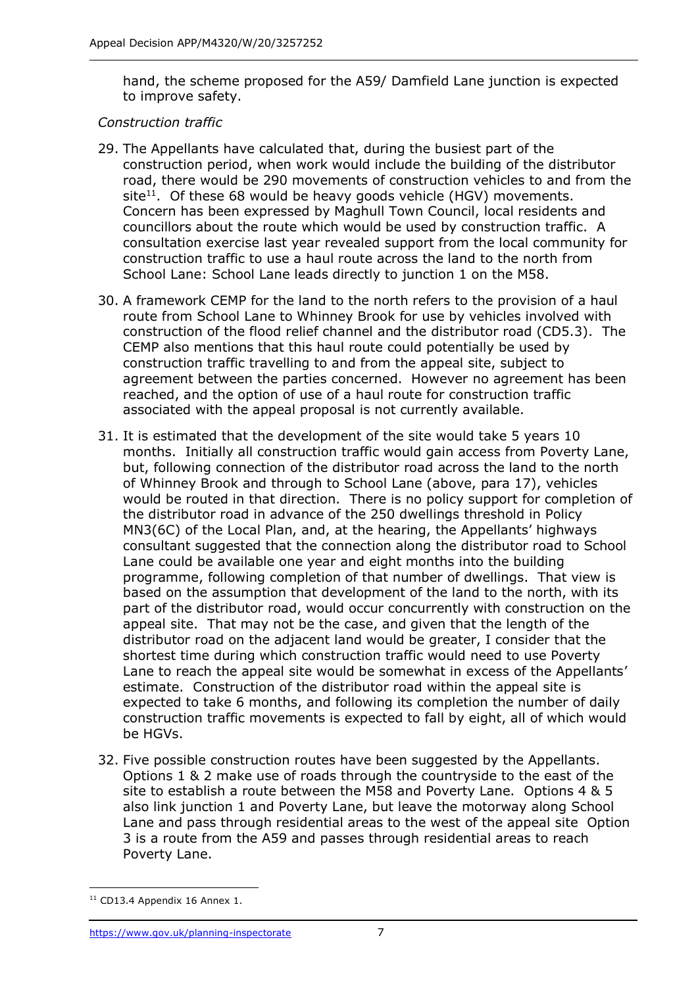hand, the scheme proposed for the A59/ Damfield Lane junction is expected to improve safety.

# *Construction traffic*

- 29. The Appellants have calculated that, during the busiest part of the construction period, when work would include the building of the distributor road, there would be 290 movements of construction vehicles to and from the site<sup>11</sup>. Of these 68 would be heavy goods vehicle (HGV) movements. Concern has been expressed by Maghull Town Council, local residents and councillors about the route which would be used by construction traffic. A consultation exercise last year revealed support from the local community for construction traffic to use a haul route across the land to the north from School Lane: School Lane leads directly to junction 1 on the M58.
- 30. A framework CEMP for the land to the north refers to the provision of a haul route from School Lane to Whinney Brook for use by vehicles involved with construction of the flood relief channel and the distributor road (CD5.3). The CEMP also mentions that this haul route could potentially be used by construction traffic travelling to and from the appeal site, subject to agreement between the parties concerned. However no agreement has been reached, and the option of use of a haul route for construction traffic associated with the appeal proposal is not currently available.
- 31. It is estimated that the development of the site would take 5 years 10 months. Initially all construction traffic would gain access from Poverty Lane, but, following connection of the distributor road across the land to the north of Whinney Brook and through to School Lane (above, para 17), vehicles would be routed in that direction. There is no policy support for completion of the distributor road in advance of the 250 dwellings threshold in Policy MN3(6C) of the Local Plan, and, at the hearing, the Appellants' highways consultant suggested that the connection along the distributor road to School Lane could be available one year and eight months into the building programme, following completion of that number of dwellings. That view is based on the assumption that development of the land to the north, with its part of the distributor road, would occur concurrently with construction on the appeal site. That may not be the case, and given that the length of the distributor road on the adjacent land would be greater, I consider that the shortest time during which construction traffic would need to use Poverty Lane to reach the appeal site would be somewhat in excess of the Appellants' estimate. Construction of the distributor road within the appeal site is expected to take 6 months, and following its completion the number of daily construction traffic movements is expected to fall by eight, all of which would be HGVs.
- 32. Five possible construction routes have been suggested by the Appellants. Options 1 & 2 make use of roads through the countryside to the east of the site to establish a route between the M58 and Poverty Lane. Options 4 & 5 also link junction 1 and Poverty Lane, but leave the motorway along School Lane and pass through residential areas to the west of the appeal site Option 3 is a route from the A59 and passes through residential areas to reach Poverty Lane.

<sup>&</sup>lt;sup>11</sup> CD13.4 Appendix 16 Annex 1.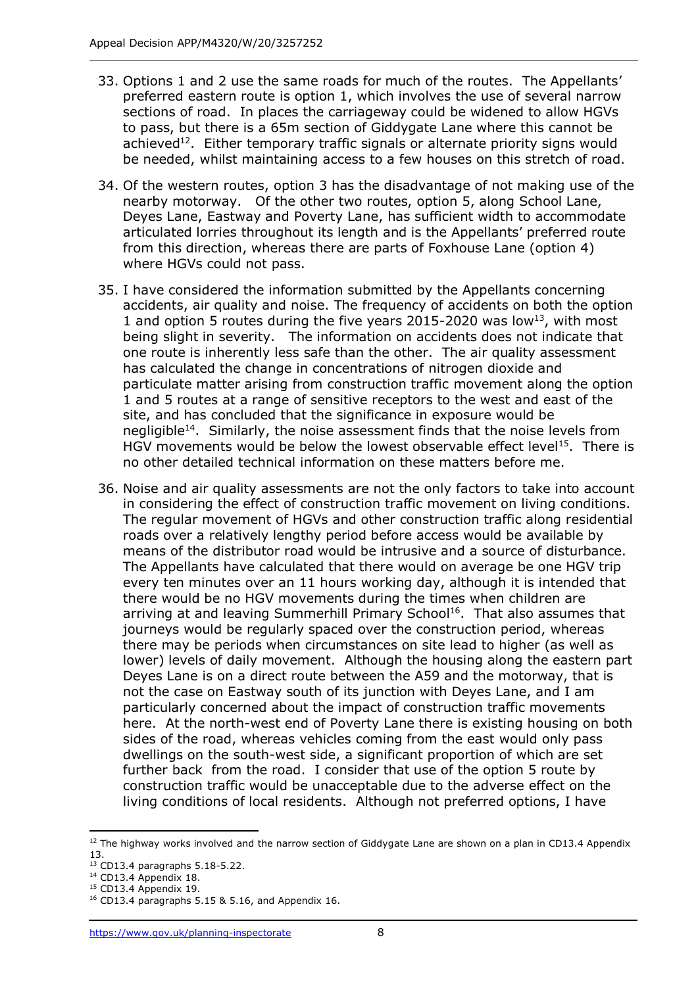- 33. Options 1 and 2 use the same roads for much of the routes. The Appellants' preferred eastern route is option 1, which involves the use of several narrow sections of road. In places the carriageway could be widened to allow HGVs to pass, but there is a 65m section of Giddygate Lane where this cannot be achieved<sup>12</sup>. Either temporary traffic signals or alternate priority signs would be needed, whilst maintaining access to a few houses on this stretch of road.
- 34. Of the western routes, option 3 has the disadvantage of not making use of the nearby motorway. Of the other two routes, option 5, along School Lane, Deyes Lane, Eastway and Poverty Lane, has sufficient width to accommodate articulated lorries throughout its length and is the Appellants' preferred route from this direction, whereas there are parts of Foxhouse Lane (option 4) where HGVs could not pass.
- 35. I have considered the information submitted by the Appellants concerning accidents, air quality and noise. The frequency of accidents on both the option 1 and option 5 routes during the five years 2015-2020 was low<sup>13</sup>, with most being slight in severity. The information on accidents does not indicate that one route is inherently less safe than the other. The air quality assessment has calculated the change in concentrations of nitrogen dioxide and particulate matter arising from construction traffic movement along the option 1 and 5 routes at a range of sensitive receptors to the west and east of the site, and has concluded that the significance in exposure would be negligible<sup>14</sup>. Similarly, the noise assessment finds that the noise levels from HGV movements would be below the lowest observable effect level<sup>15</sup>. There is no other detailed technical information on these matters before me.
- 36. Noise and air quality assessments are not the only factors to take into account in considering the effect of construction traffic movement on living conditions. The regular movement of HGVs and other construction traffic along residential roads over a relatively lengthy period before access would be available by means of the distributor road would be intrusive and a source of disturbance. The Appellants have calculated that there would on average be one HGV trip every ten minutes over an 11 hours working day, although it is intended that there would be no HGV movements during the times when children are arriving at and leaving Summerhill Primary School<sup>16</sup>. That also assumes that journeys would be regularly spaced over the construction period, whereas there may be periods when circumstances on site lead to higher (as well as lower) levels of daily movement. Although the housing along the eastern part Deyes Lane is on a direct route between the A59 and the motorway, that is not the case on Eastway south of its junction with Deyes Lane, and I am particularly concerned about the impact of construction traffic movements here. At the north-west end of Poverty Lane there is existing housing on both sides of the road, whereas vehicles coming from the east would only pass dwellings on the south-west side, a significant proportion of which are set further back from the road. I consider that use of the option 5 route by construction traffic would be unacceptable due to the adverse effect on the living conditions of local residents. Although not preferred options, I have

<sup>&</sup>lt;sup>12</sup> The highway works involved and the narrow section of Giddygate Lane are shown on a plan in CD13.4 Appendix 13.

<sup>13</sup> CD13.4 paragraphs 5.18-5.22.

<sup>14</sup> CD13.4 Appendix 18.

<sup>15</sup> CD13.4 Appendix 19.

<sup>&</sup>lt;sup>16</sup> CD13.4 paragraphs 5.15 & 5.16, and Appendix 16.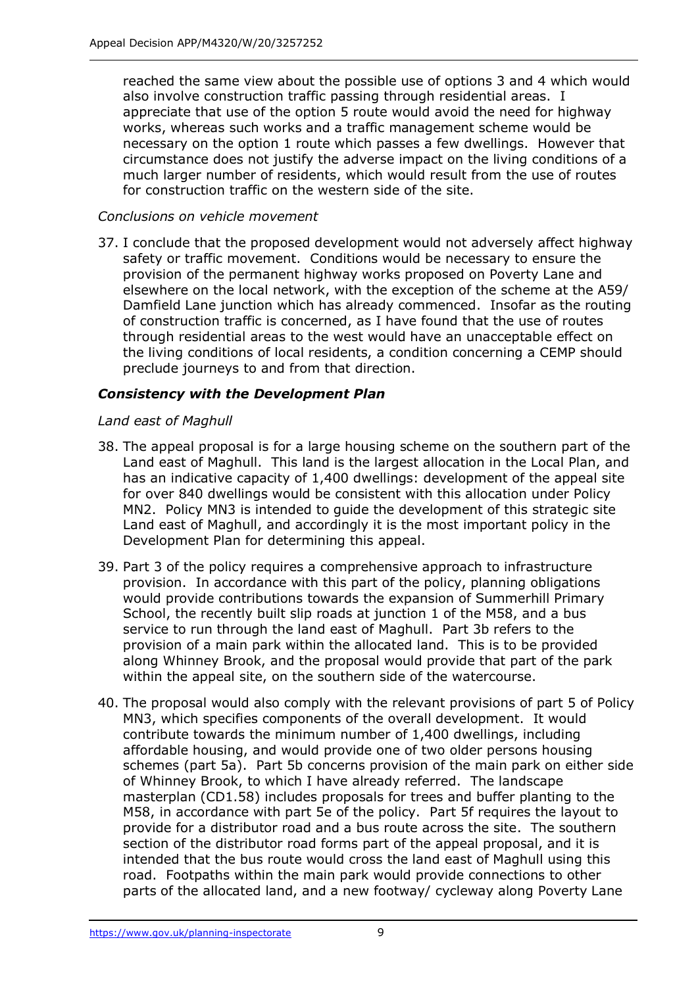reached the same view about the possible use of options 3 and 4 which would also involve construction traffic passing through residential areas. I appreciate that use of the option 5 route would avoid the need for highway works, whereas such works and a traffic management scheme would be necessary on the option 1 route which passes a few dwellings. However that circumstance does not justify the adverse impact on the living conditions of a much larger number of residents, which would result from the use of routes for construction traffic on the western side of the site.

## *Conclusions on vehicle movement*

37. I conclude that the proposed development would not adversely affect highway safety or traffic movement. Conditions would be necessary to ensure the provision of the permanent highway works proposed on Poverty Lane and elsewhere on the local network, with the exception of the scheme at the A59/ Damfield Lane junction which has already commenced. Insofar as the routing of construction traffic is concerned, as I have found that the use of routes through residential areas to the west would have an unacceptable effect on the living conditions of local residents, a condition concerning a CEMP should preclude journeys to and from that direction.

# *Consistency with the Development Plan*

## *Land east of Maghull*

- 38. The appeal proposal is for a large housing scheme on the southern part of the Land east of Maghull. This land is the largest allocation in the Local Plan, and has an indicative capacity of 1,400 dwellings: development of the appeal site for over 840 dwellings would be consistent with this allocation under Policy MN2. Policy MN3 is intended to guide the development of this strategic site Land east of Maghull, and accordingly it is the most important policy in the Development Plan for determining this appeal.
- 39. Part 3 of the policy requires a comprehensive approach to infrastructure provision. In accordance with this part of the policy, planning obligations would provide contributions towards the expansion of Summerhill Primary School, the recently built slip roads at junction 1 of the M58, and a bus service to run through the land east of Maghull. Part 3b refers to the provision of a main park within the allocated land. This is to be provided along Whinney Brook, and the proposal would provide that part of the park within the appeal site, on the southern side of the watercourse.
- 40. The proposal would also comply with the relevant provisions of part 5 of Policy MN3, which specifies components of the overall development. It would contribute towards the minimum number of 1,400 dwellings, including affordable housing, and would provide one of two older persons housing schemes (part 5a). Part 5b concerns provision of the main park on either side of Whinney Brook, to which I have already referred. The landscape masterplan (CD1.58) includes proposals for trees and buffer planting to the M58, in accordance with part 5e of the policy. Part 5f requires the layout to provide for a distributor road and a bus route across the site. The southern section of the distributor road forms part of the appeal proposal, and it is intended that the bus route would cross the land east of Maghull using this road. Footpaths within the main park would provide connections to other parts of the allocated land, and a new footway/ cycleway along Poverty Lane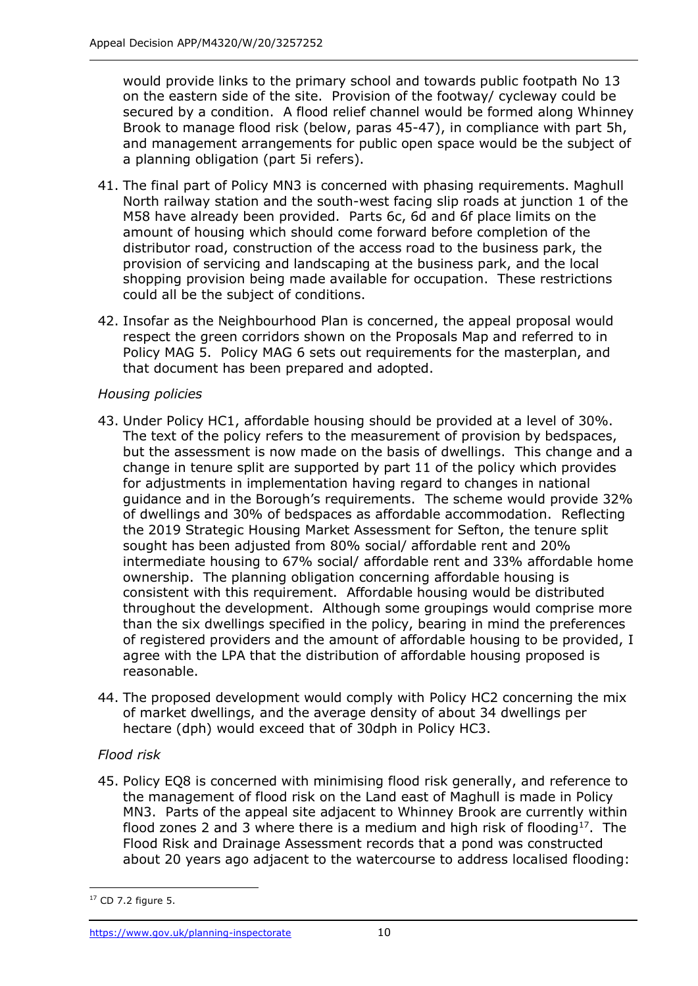would provide links to the primary school and towards public footpath No 13 on the eastern side of the site. Provision of the footway/ cycleway could be secured by a condition. A flood relief channel would be formed along Whinney Brook to manage flood risk (below, paras 45-47), in compliance with part 5h, and management arrangements for public open space would be the subject of a planning obligation (part 5i refers).

- 41. The final part of Policy MN3 is concerned with phasing requirements. Maghull North railway station and the south-west facing slip roads at junction 1 of the M58 have already been provided. Parts 6c, 6d and 6f place limits on the amount of housing which should come forward before completion of the distributor road, construction of the access road to the business park, the provision of servicing and landscaping at the business park, and the local shopping provision being made available for occupation. These restrictions could all be the subject of conditions.
- 42. Insofar as the Neighbourhood Plan is concerned, the appeal proposal would respect the green corridors shown on the Proposals Map and referred to in Policy MAG 5. Policy MAG 6 sets out requirements for the masterplan, and that document has been prepared and adopted.

# *Housing policies*

- 43. Under Policy HC1, affordable housing should be provided at a level of 30%. The text of the policy refers to the measurement of provision by bedspaces, but the assessment is now made on the basis of dwellings. This change and a change in tenure split are supported by part 11 of the policy which provides for adjustments in implementation having regard to changes in national guidance and in the Borough's requirements. The scheme would provide 32% of dwellings and 30% of bedspaces as affordable accommodation. Reflecting the 2019 Strategic Housing Market Assessment for Sefton, the tenure split sought has been adjusted from 80% social/ affordable rent and 20% intermediate housing to 67% social/ affordable rent and 33% affordable home ownership. The planning obligation concerning affordable housing is consistent with this requirement. Affordable housing would be distributed throughout the development. Although some groupings would comprise more than the six dwellings specified in the policy, bearing in mind the preferences of registered providers and the amount of affordable housing to be provided, I agree with the LPA that the distribution of affordable housing proposed is reasonable.
- 44. The proposed development would comply with Policy HC2 concerning the mix of market dwellings, and the average density of about 34 dwellings per hectare (dph) would exceed that of 30dph in Policy HC3.

## *Flood risk*

45. Policy EQ8 is concerned with minimising flood risk generally, and reference to the management of flood risk on the Land east of Maghull is made in Policy MN3. Parts of the appeal site adjacent to Whinney Brook are currently within flood zones 2 and 3 where there is a medium and high risk of flooding<sup>17</sup>. The Flood Risk and Drainage Assessment records that a pond was constructed about 20 years ago adjacent to the watercourse to address localised flooding:

<sup>17</sup> CD 7.2 figure 5.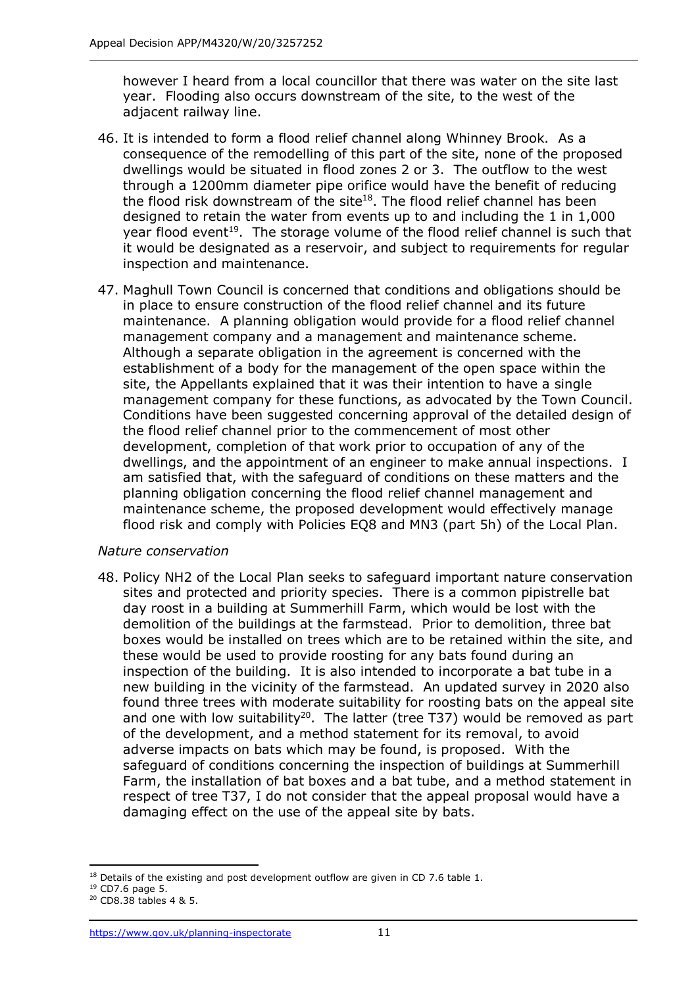however I heard from a local councillor that there was water on the site last year. Flooding also occurs downstream of the site, to the west of the adjacent railway line.

- 46. It is intended to form a flood relief channel along Whinney Brook. As a consequence of the remodelling of this part of the site, none of the proposed dwellings would be situated in flood zones 2 or 3. The outflow to the west through a 1200mm diameter pipe orifice would have the benefit of reducing the flood risk downstream of the site<sup>18</sup>. The flood relief channel has been designed to retain the water from events up to and including the 1 in 1,000 year flood event<sup>19</sup>. The storage volume of the flood relief channel is such that it would be designated as a reservoir, and subject to requirements for regular inspection and maintenance.
- 47. Maghull Town Council is concerned that conditions and obligations should be in place to ensure construction of the flood relief channel and its future maintenance. A planning obligation would provide for a flood relief channel management company and a management and maintenance scheme. Although a separate obligation in the agreement is concerned with the establishment of a body for the management of the open space within the site, the Appellants explained that it was their intention to have a single management company for these functions, as advocated by the Town Council. Conditions have been suggested concerning approval of the detailed design of the flood relief channel prior to the commencement of most other development, completion of that work prior to occupation of any of the dwellings, and the appointment of an engineer to make annual inspections. I am satisfied that, with the safeguard of conditions on these matters and the planning obligation concerning the flood relief channel management and maintenance scheme, the proposed development would effectively manage flood risk and comply with Policies EQ8 and MN3 (part 5h) of the Local Plan.

## *Nature conservation*

48. Policy NH2 of the Local Plan seeks to safeguard important nature conservation sites and protected and priority species. There is a common pipistrelle bat day roost in a building at Summerhill Farm, which would be lost with the demolition of the buildings at the farmstead. Prior to demolition, three bat boxes would be installed on trees which are to be retained within the site, and these would be used to provide roosting for any bats found during an inspection of the building. It is also intended to incorporate a bat tube in a new building in the vicinity of the farmstead. An updated survey in 2020 also found three trees with moderate suitability for roosting bats on the appeal site and one with low suitability<sup>20</sup>. The latter (tree T37) would be removed as part of the development, and a method statement for its removal, to avoid adverse impacts on bats which may be found, is proposed. With the safeguard of conditions concerning the inspection of buildings at Summerhill Farm, the installation of bat boxes and a bat tube, and a method statement in respect of tree T37, I do not consider that the appeal proposal would have a damaging effect on the use of the appeal site by bats.

 $18$  Details of the existing and post development outflow are given in CD 7.6 table 1.

<sup>19</sup> CD7.6 page 5.

<sup>20</sup> CD8.38 tables 4 & 5.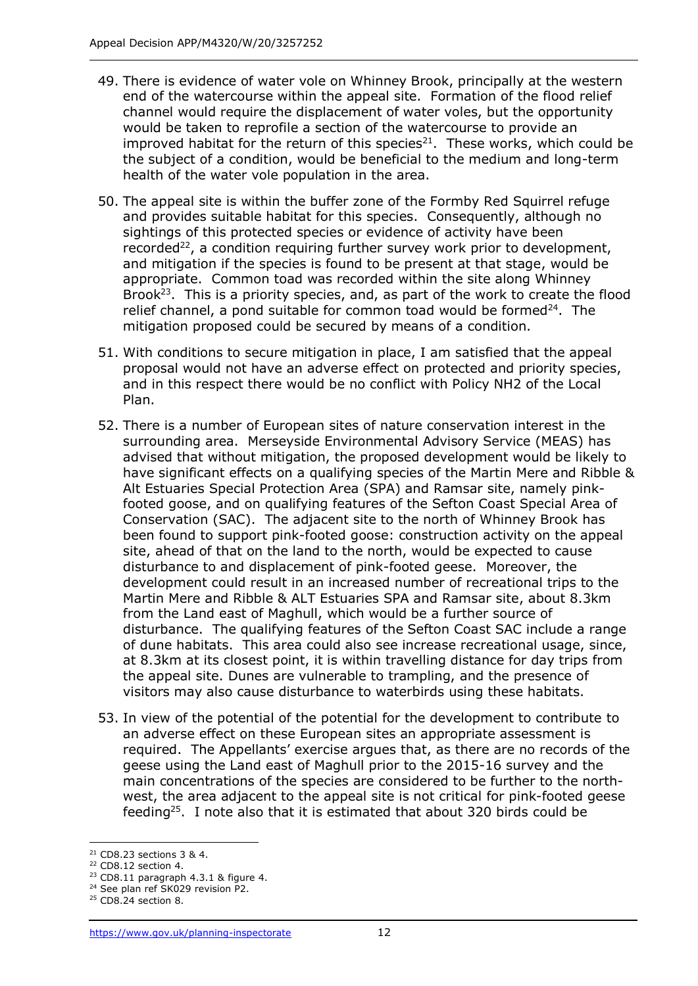- 49. There is evidence of water vole on Whinney Brook, principally at the western end of the watercourse within the appeal site. Formation of the flood relief channel would require the displacement of water voles, but the opportunity would be taken to reprofile a section of the watercourse to provide an improved habitat for the return of this species $^{21}$ . These works, which could be the subject of a condition, would be beneficial to the medium and long-term health of the water vole population in the area.
- 50. The appeal site is within the buffer zone of the Formby Red Squirrel refuge and provides suitable habitat for this species. Consequently, although no sightings of this protected species or evidence of activity have been recorded<sup>22</sup>, a condition requiring further survey work prior to development, and mitigation if the species is found to be present at that stage, would be appropriate. Common toad was recorded within the site along Whinney Brook<sup>23</sup>. This is a priority species, and, as part of the work to create the flood relief channel, a pond suitable for common toad would be formed $24$ . The mitigation proposed could be secured by means of a condition.
- 51. With conditions to secure mitigation in place, I am satisfied that the appeal proposal would not have an adverse effect on protected and priority species, and in this respect there would be no conflict with Policy NH2 of the Local Plan.
- 52. There is a number of European sites of nature conservation interest in the surrounding area. Merseyside Environmental Advisory Service (MEAS) has advised that without mitigation, the proposed development would be likely to have significant effects on a qualifying species of the Martin Mere and Ribble & Alt Estuaries Special Protection Area (SPA) and Ramsar site, namely pinkfooted goose, and on qualifying features of the Sefton Coast Special Area of Conservation (SAC). The adjacent site to the north of Whinney Brook has been found to support pink-footed goose: construction activity on the appeal site, ahead of that on the land to the north, would be expected to cause disturbance to and displacement of pink-footed geese. Moreover, the development could result in an increased number of recreational trips to the Martin Mere and Ribble & ALT Estuaries SPA and Ramsar site, about 8.3km from the Land east of Maghull, which would be a further source of disturbance. The qualifying features of the Sefton Coast SAC include a range of dune habitats. This area could also see increase recreational usage, since, at 8.3km at its closest point, it is within travelling distance for day trips from the appeal site. Dunes are vulnerable to trampling, and the presence of visitors may also cause disturbance to waterbirds using these habitats.
- 53. In view of the potential of the potential for the development to contribute to an adverse effect on these European sites an appropriate assessment is required. The Appellants' exercise argues that, as there are no records of the geese using the Land east of Maghull prior to the 2015-16 survey and the main concentrations of the species are considered to be further to the northwest, the area adjacent to the appeal site is not critical for pink-footed geese feeding<sup>25</sup>. I note also that it is estimated that about 320 birds could be

<sup>21</sup> CD8.23 sections 3 & 4.

<sup>22</sup> CD8.12 section 4.

<sup>23</sup> CD8.11 paragraph 4.3.1 & figure 4. <sup>24</sup> See plan ref SK029 revision P2.

<sup>25</sup> CD8.24 section 8.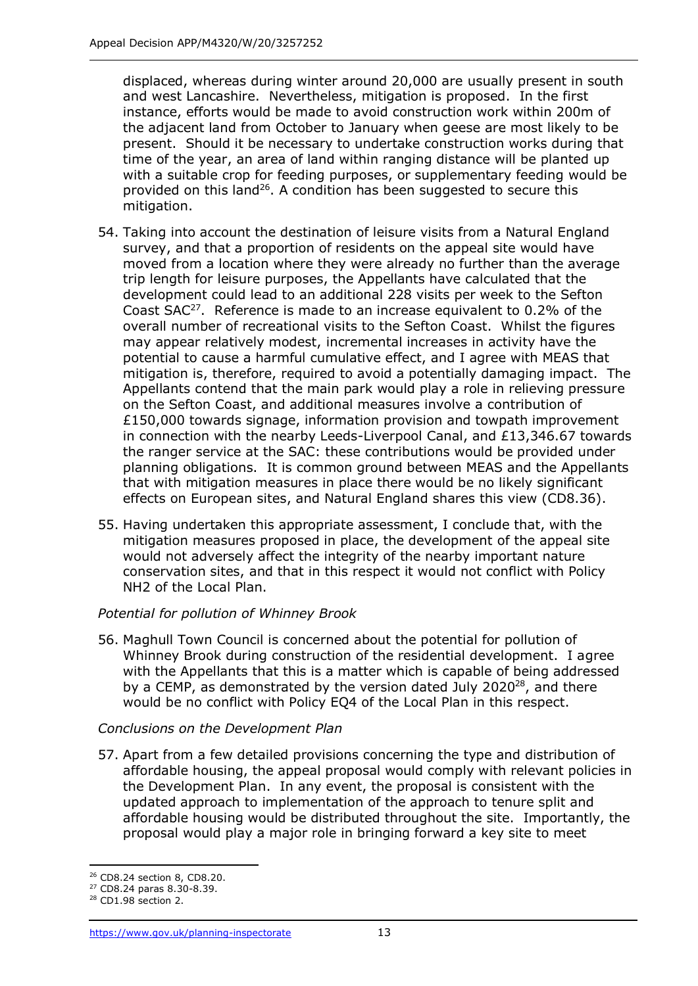displaced, whereas during winter around 20,000 are usually present in south and west Lancashire. Nevertheless, mitigation is proposed. In the first instance, efforts would be made to avoid construction work within 200m of the adjacent land from October to January when geese are most likely to be present. Should it be necessary to undertake construction works during that time of the year, an area of land within ranging distance will be planted up with a suitable crop for feeding purposes, or supplementary feeding would be provided on this land<sup>26</sup>. A condition has been suggested to secure this mitigation.

- 54. Taking into account the destination of leisure visits from a Natural England survey, and that a proportion of residents on the appeal site would have moved from a location where they were already no further than the average trip length for leisure purposes, the Appellants have calculated that the development could lead to an additional 228 visits per week to the Sefton Coast  $SAC^{27}$ . Reference is made to an increase equivalent to 0.2% of the overall number of recreational visits to the Sefton Coast. Whilst the figures may appear relatively modest, incremental increases in activity have the potential to cause a harmful cumulative effect, and I agree with MEAS that mitigation is, therefore, required to avoid a potentially damaging impact. The Appellants contend that the main park would play a role in relieving pressure on the Sefton Coast, and additional measures involve a contribution of  $£150,000$  towards signage, information provision and towpath improvement in connection with the nearby Leeds-Liverpool Canal, and £13,346.67 towards the ranger service at the SAC: these contributions would be provided under planning obligations. It is common ground between MEAS and the Appellants that with mitigation measures in place there would be no likely significant effects on European sites, and Natural England shares this view (CD8.36).
- 55. Having undertaken this appropriate assessment, I conclude that, with the mitigation measures proposed in place, the development of the appeal site would not adversely affect the integrity of the nearby important nature conservation sites, and that in this respect it would not conflict with Policy NH2 of the Local Plan.

# *Potential for pollution of Whinney Brook*

56. Maghull Town Council is concerned about the potential for pollution of Whinney Brook during construction of the residential development. I agree with the Appellants that this is a matter which is capable of being addressed by a CEMP, as demonstrated by the version dated July 2020 $^{28}$ , and there would be no conflict with Policy EQ4 of the Local Plan in this respect.

## *Conclusions on the Development Plan*

57. Apart from a few detailed provisions concerning the type and distribution of affordable housing, the appeal proposal would comply with relevant policies in the Development Plan. In any event, the proposal is consistent with the updated approach to implementation of the approach to tenure split and affordable housing would be distributed throughout the site. Importantly, the proposal would play a major role in bringing forward a key site to meet

<sup>26</sup> CD8.24 section 8, CD8.20.

<sup>27</sup> CD8.24 paras 8.30-8.39.

<sup>28</sup> CD1.98 section 2.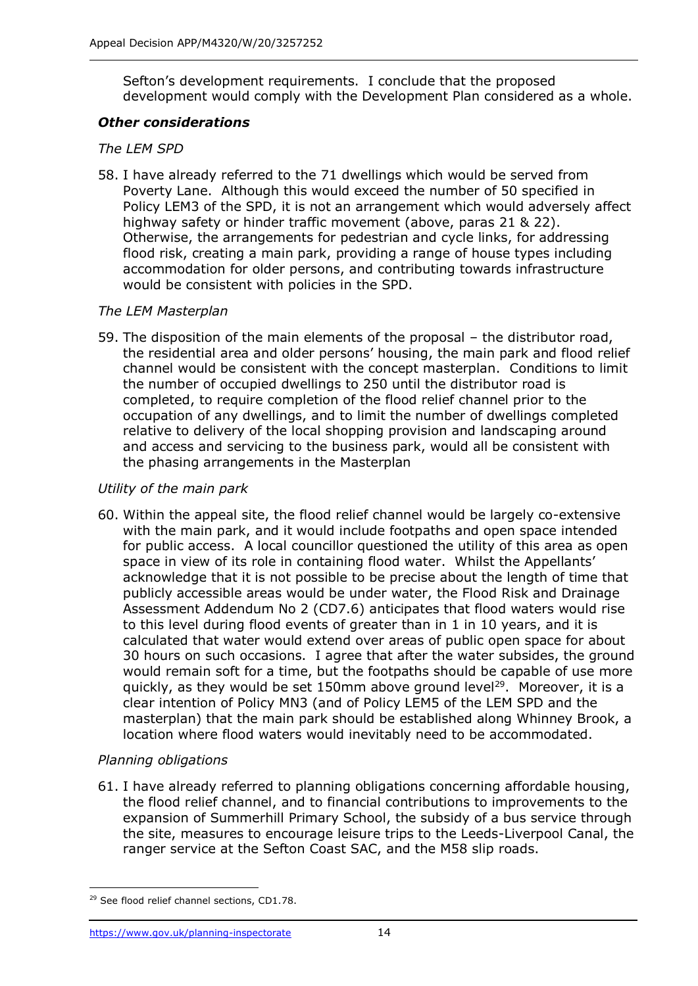Sefton's development requirements. I conclude that the proposed development would comply with the Development Plan considered as a whole.

## *Other considerations*

# *The LEM SPD*

58. I have already referred to the 71 dwellings which would be served from Poverty Lane. Although this would exceed the number of 50 specified in Policy LEM3 of the SPD, it is not an arrangement which would adversely affect highway safety or hinder traffic movement (above, paras 21 & 22). Otherwise, the arrangements for pedestrian and cycle links, for addressing flood risk, creating a main park, providing a range of house types including accommodation for older persons, and contributing towards infrastructure would be consistent with policies in the SPD.

# *The LEM Masterplan*

59. The disposition of the main elements of the proposal – the distributor road, the residential area and older persons' housing, the main park and flood relief channel would be consistent with the concept masterplan. Conditions to limit the number of occupied dwellings to 250 until the distributor road is completed, to require completion of the flood relief channel prior to the occupation of any dwellings, and to limit the number of dwellings completed relative to delivery of the local shopping provision and landscaping around and access and servicing to the business park, would all be consistent with the phasing arrangements in the Masterplan

# *Utility of the main park*

60. Within the appeal site, the flood relief channel would be largely co-extensive with the main park, and it would include footpaths and open space intended for public access. A local councillor questioned the utility of this area as open space in view of its role in containing flood water. Whilst the Appellants' acknowledge that it is not possible to be precise about the length of time that publicly accessible areas would be under water, the Flood Risk and Drainage Assessment Addendum No 2 (CD7.6) anticipates that flood waters would rise to this level during flood events of greater than in 1 in 10 years, and it is calculated that water would extend over areas of public open space for about 30 hours on such occasions. I agree that after the water subsides, the ground would remain soft for a time, but the footpaths should be capable of use more quickly, as they would be set 150mm above ground level<sup>29</sup>. Moreover, it is a clear intention of Policy MN3 (and of Policy LEM5 of the LEM SPD and the masterplan) that the main park should be established along Whinney Brook, a location where flood waters would inevitably need to be accommodated.

# *Planning obligations*

61. I have already referred to planning obligations concerning affordable housing, the flood relief channel, and to financial contributions to improvements to the expansion of Summerhill Primary School, the subsidy of a bus service through the site, measures to encourage leisure trips to the Leeds-Liverpool Canal, the ranger service at the Sefton Coast SAC, and the M58 slip roads.

<sup>&</sup>lt;sup>29</sup> See flood relief channel sections, CD1.78.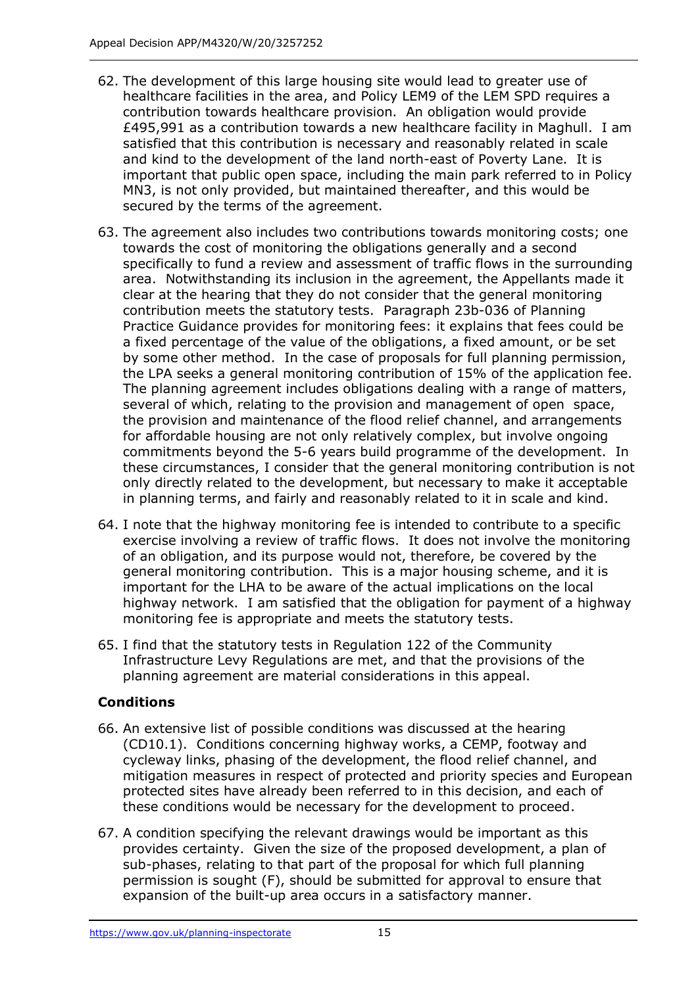- 62. The development of this large housing site would lead to greater use of healthcare facilities in the area, and Policy LEM9 of the LEM SPD requires a contribution towards healthcare provision. An obligation would provide £495,991 as a contribution towards a new healthcare facility in Maghull. I am satisfied that this contribution is necessary and reasonably related in scale and kind to the development of the land north-east of Poverty Lane. It is important that public open space, including the main park referred to in Policy MN3, is not only provided, but maintained thereafter, and this would be secured by the terms of the agreement.
- 63. The agreement also includes two contributions towards monitoring costs; one towards the cost of monitoring the obligations generally and a second specifically to fund a review and assessment of traffic flows in the surrounding area. Notwithstanding its inclusion in the agreement, the Appellants made it clear at the hearing that they do not consider that the general monitoring contribution meets the statutory tests. Paragraph 23b-036 of Planning Practice Guidance provides for monitoring fees: it explains that fees could be a fixed percentage of the value of the obligations, a fixed amount, or be set by some other method. In the case of proposals for full planning permission, the LPA seeks a general monitoring contribution of 15% of the application fee. The planning agreement includes obligations dealing with a range of matters, several of which, relating to the provision and management of open space, the provision and maintenance of the flood relief channel, and arrangements for affordable housing are not only relatively complex, but involve ongoing commitments beyond the 5-6 years build programme of the development. In these circumstances, I consider that the general monitoring contribution is not only directly related to the development, but necessary to make it acceptable in planning terms, and fairly and reasonably related to it in scale and kind.
- 64. I note that the highway monitoring fee is intended to contribute to a specific exercise involving a review of traffic flows. It does not involve the monitoring of an obligation, and its purpose would not, therefore, be covered by the general monitoring contribution. This is a major housing scheme, and it is important for the LHA to be aware of the actual implications on the local highway network. I am satisfied that the obligation for payment of a highway monitoring fee is appropriate and meets the statutory tests.
- 65. I find that the statutory tests in Regulation 122 of the Community Infrastructure Levy Regulations are met, and that the provisions of the planning agreement are material considerations in this appeal.

# **Conditions**

- 66. An extensive list of possible conditions was discussed at the hearing (CD10.1). Conditions concerning highway works, a CEMP, footway and cycleway links, phasing of the development, the flood relief channel, and mitigation measures in respect of protected and priority species and European protected sites have already been referred to in this decision, and each of these conditions would be necessary for the development to proceed.
- 67. A condition specifying the relevant drawings would be important as this provides certainty. Given the size of the proposed development, a plan of sub-phases, relating to that part of the proposal for which full planning permission is sought (F), should be submitted for approval to ensure that expansion of the built-up area occurs in a satisfactory manner.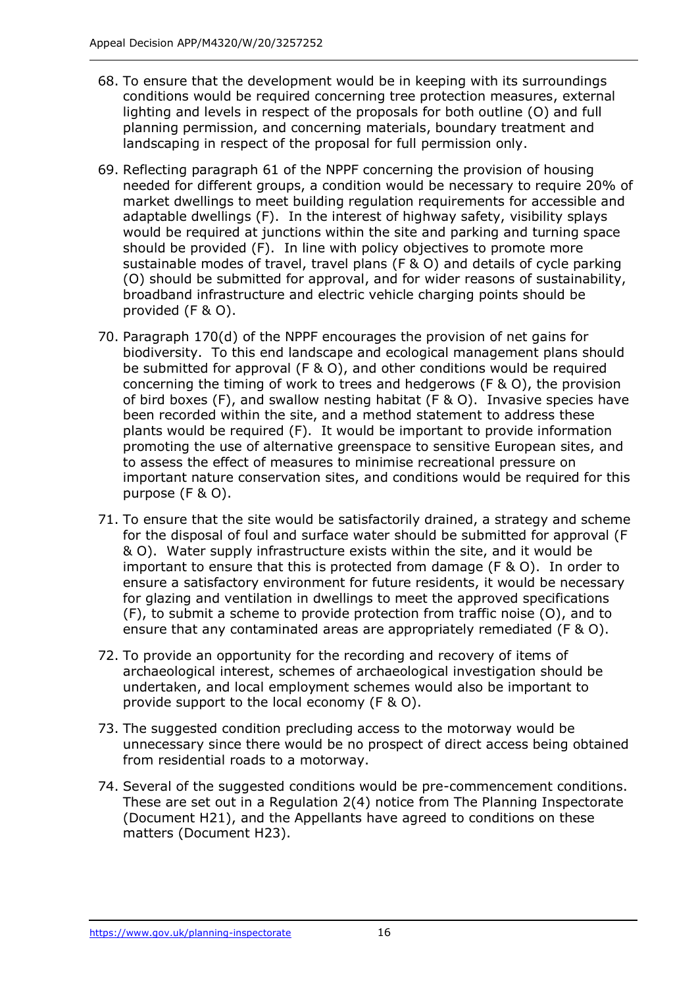- 68. To ensure that the development would be in keeping with its surroundings conditions would be required concerning tree protection measures, external lighting and levels in respect of the proposals for both outline (O) and full planning permission, and concerning materials, boundary treatment and landscaping in respect of the proposal for full permission only.
- 69. Reflecting paragraph 61 of the NPPF concerning the provision of housing needed for different groups, a condition would be necessary to require 20% of market dwellings to meet building regulation requirements for accessible and adaptable dwellings (F). In the interest of highway safety, visibility splays would be required at junctions within the site and parking and turning space should be provided (F). In line with policy objectives to promote more sustainable modes of travel, travel plans (F & O) and details of cycle parking (O) should be submitted for approval, and for wider reasons of sustainability, broadband infrastructure and electric vehicle charging points should be provided (F & O).
- 70. Paragraph 170(d) of the NPPF encourages the provision of net gains for biodiversity. To this end landscape and ecological management plans should be submitted for approval (F & O), and other conditions would be required concerning the timing of work to trees and hedgerows (F & O), the provision of bird boxes (F), and swallow nesting habitat (F & O). Invasive species have been recorded within the site, and a method statement to address these plants would be required (F). It would be important to provide information promoting the use of alternative greenspace to sensitive European sites, and to assess the effect of measures to minimise recreational pressure on important nature conservation sites, and conditions would be required for this purpose (F & O).
- 71. To ensure that the site would be satisfactorily drained, a strategy and scheme for the disposal of foul and surface water should be submitted for approval (F & O). Water supply infrastructure exists within the site, and it would be important to ensure that this is protected from damage  $(F \& O)$ . In order to ensure a satisfactory environment for future residents, it would be necessary for glazing and ventilation in dwellings to meet the approved specifications (F), to submit a scheme to provide protection from traffic noise (O), and to ensure that any contaminated areas are appropriately remediated (F & O).
- 72. To provide an opportunity for the recording and recovery of items of archaeological interest, schemes of archaeological investigation should be undertaken, and local employment schemes would also be important to provide support to the local economy (F & O).
- 73. The suggested condition precluding access to the motorway would be unnecessary since there would be no prospect of direct access being obtained from residential roads to a motorway.
- 74. Several of the suggested conditions would be pre-commencement conditions. These are set out in a Regulation 2(4) notice from The Planning Inspectorate (Document H21), and the Appellants have agreed to conditions on these matters (Document H23).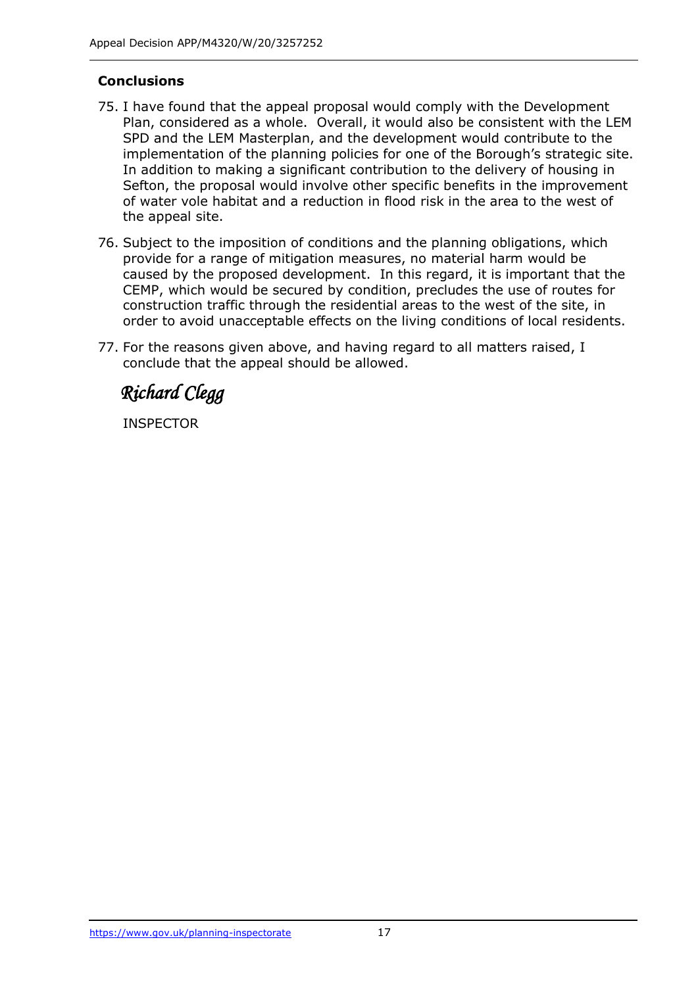# **Conclusions**

- 75. I have found that the appeal proposal would comply with the Development Plan, considered as a whole. Overall, it would also be consistent with the LEM SPD and the LEM Masterplan, and the development would contribute to the implementation of the planning policies for one of the Borough's strategic site. In addition to making a significant contribution to the delivery of housing in Sefton, the proposal would involve other specific benefits in the improvement of water vole habitat and a reduction in flood risk in the area to the west of the appeal site.
- 76. Subject to the imposition of conditions and the planning obligations, which provide for a range of mitigation measures, no material harm would be caused by the proposed development. In this regard, it is important that the CEMP, which would be secured by condition, precludes the use of routes for construction traffic through the residential areas to the west of the site, in order to avoid unacceptable effects on the living conditions of local residents.
- 77. For the reasons given above, and having regard to all matters raised, I conclude that the appeal should be allowed.

 *Richard Clegg* 

INSPECTOR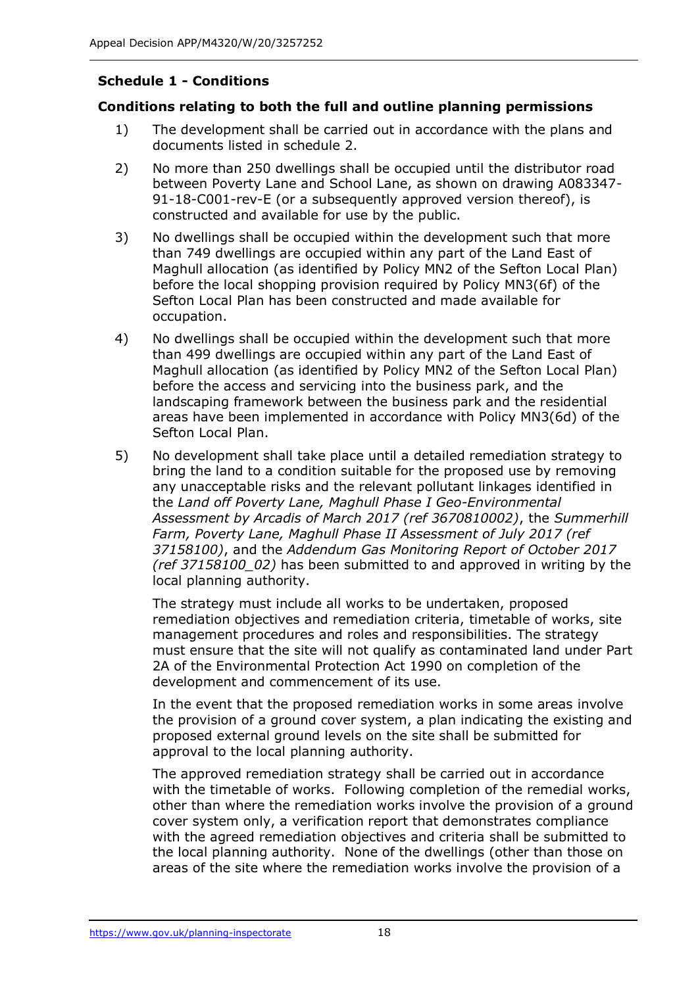# **Schedule 1 - Conditions**

# **Conditions relating to both the full and outline planning permissions**

- 1) The development shall be carried out in accordance with the plans and documents listed in schedule 2.
- 2) No more than 250 dwellings shall be occupied until the distributor road between Poverty Lane and School Lane, as shown on drawing A083347- 91-18-C001-rev-E (or a subsequently approved version thereof), is constructed and available for use by the public.
- 3) No dwellings shall be occupied within the development such that more than 749 dwellings are occupied within any part of the Land East of Maghull allocation (as identified by Policy MN2 of the Sefton Local Plan) before the local shopping provision required by Policy MN3(6f) of the Sefton Local Plan has been constructed and made available for occupation.
- 4) No dwellings shall be occupied within the development such that more than 499 dwellings are occupied within any part of the Land East of Maghull allocation (as identified by Policy MN2 of the Sefton Local Plan) before the access and servicing into the business park, and the landscaping framework between the business park and the residential areas have been implemented in accordance with Policy MN3(6d) of the Sefton Local Plan.
- 5) No development shall take place until a detailed remediation strategy to bring the land to a condition suitable for the proposed use by removing any unacceptable risks and the relevant pollutant linkages identified in the *Land off Poverty Lane, Maghull Phase I Geo-Environmental Assessment by Arcadis of March 2017 (ref 3670810002)*, the *Summerhill Farm, Poverty Lane, Maghull Phase II Assessment of July 2017 (ref 37158100)*, and the *Addendum Gas Monitoring Report of October 2017 (ref 37158100\_02)* has been submitted to and approved in writing by the local planning authority.

The strategy must include all works to be undertaken, proposed remediation objectives and remediation criteria, timetable of works, site management procedures and roles and responsibilities. The strategy must ensure that the site will not qualify as contaminated land under Part 2A of the Environmental Protection Act 1990 on completion of the development and commencement of its use.

In the event that the proposed remediation works in some areas involve the provision of a ground cover system, a plan indicating the existing and proposed external ground levels on the site shall be submitted for approval to the local planning authority.

The approved remediation strategy shall be carried out in accordance with the timetable of works. Following completion of the remedial works, other than where the remediation works involve the provision of a ground cover system only, a verification report that demonstrates compliance with the agreed remediation objectives and criteria shall be submitted to the local planning authority. None of the dwellings (other than those on areas of the site where the remediation works involve the provision of a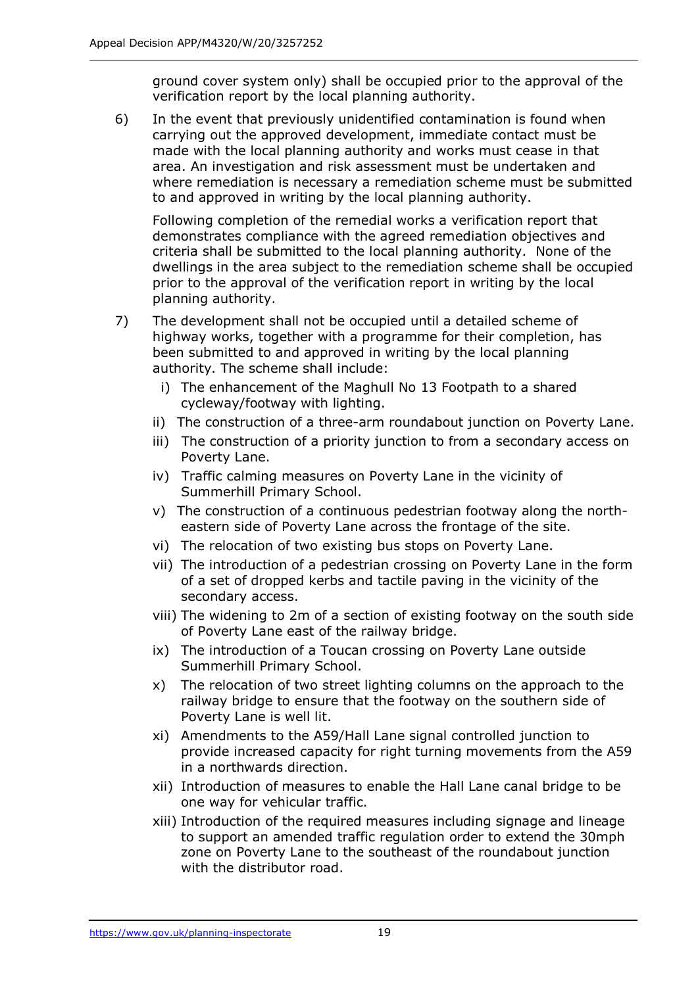ground cover system only) shall be occupied prior to the approval of the verification report by the local planning authority.

6) In the event that previously unidentified contamination is found when carrying out the approved development, immediate contact must be made with the local planning authority and works must cease in that area. An investigation and risk assessment must be undertaken and where remediation is necessary a remediation scheme must be submitted to and approved in writing by the local planning authority.

Following completion of the remedial works a verification report that demonstrates compliance with the agreed remediation objectives and criteria shall be submitted to the local planning authority. None of the dwellings in the area subject to the remediation scheme shall be occupied prior to the approval of the verification report in writing by the local planning authority.

- 7) The development shall not be occupied until a detailed scheme of highway works, together with a programme for their completion, has been submitted to and approved in writing by the local planning authority. The scheme shall include:
	- i) The enhancement of the Maghull No 13 Footpath to a shared cycleway/footway with lighting.
	- ii) The construction of a three-arm roundabout junction on Poverty Lane.
	- iii) The construction of a priority junction to from a secondary access on Poverty Lane.
	- iv) Traffic calming measures on Poverty Lane in the vicinity of Summerhill Primary School.
	- v) The construction of a continuous pedestrian footway along the northeastern side of Poverty Lane across the frontage of the site.
	- vi) The relocation of two existing bus stops on Poverty Lane.
	- vii) The introduction of a pedestrian crossing on Poverty Lane in the form of a set of dropped kerbs and tactile paving in the vicinity of the secondary access.
	- viii) The widening to 2m of a section of existing footway on the south side of Poverty Lane east of the railway bridge.
	- ix) The introduction of a Toucan crossing on Poverty Lane outside Summerhill Primary School.
	- x) The relocation of two street lighting columns on the approach to the railway bridge to ensure that the footway on the southern side of Poverty Lane is well lit.
	- xi) Amendments to the A59/Hall Lane signal controlled junction to provide increased capacity for right turning movements from the A59 in a northwards direction.
	- xii) Introduction of measures to enable the Hall Lane canal bridge to be one way for vehicular traffic.
	- xiii) Introduction of the required measures including signage and lineage to support an amended traffic regulation order to extend the 30mph zone on Poverty Lane to the southeast of the roundabout junction with the distributor road.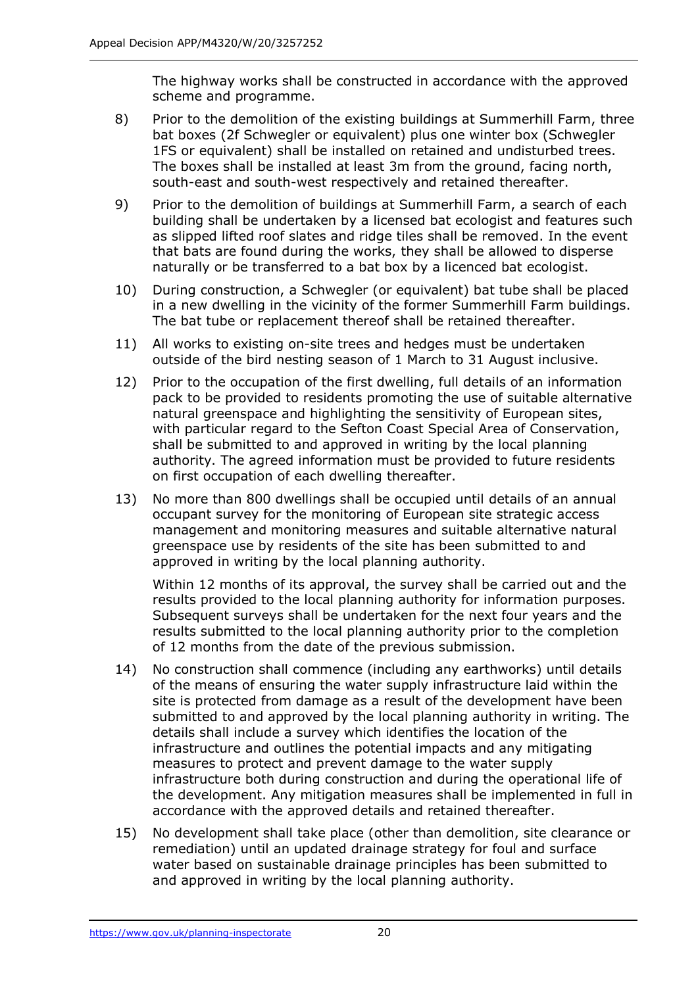The highway works shall be constructed in accordance with the approved scheme and programme.

- 8) Prior to the demolition of the existing buildings at Summerhill Farm, three bat boxes (2f Schwegler or equivalent) plus one winter box (Schwegler 1FS or equivalent) shall be installed on retained and undisturbed trees. The boxes shall be installed at least 3m from the ground, facing north, south-east and south-west respectively and retained thereafter.
- 9) Prior to the demolition of buildings at Summerhill Farm, a search of each building shall be undertaken by a licensed bat ecologist and features such as slipped lifted roof slates and ridge tiles shall be removed. In the event that bats are found during the works, they shall be allowed to disperse naturally or be transferred to a bat box by a licenced bat ecologist.
- 10) During construction, a Schwegler (or equivalent) bat tube shall be placed in a new dwelling in the vicinity of the former Summerhill Farm buildings. The bat tube or replacement thereof shall be retained thereafter.
- 11) All works to existing on-site trees and hedges must be undertaken outside of the bird nesting season of 1 March to 31 August inclusive.
- 12) Prior to the occupation of the first dwelling, full details of an information pack to be provided to residents promoting the use of suitable alternative natural greenspace and highlighting the sensitivity of European sites, with particular regard to the Sefton Coast Special Area of Conservation, shall be submitted to and approved in writing by the local planning authority. The agreed information must be provided to future residents on first occupation of each dwelling thereafter.
- 13) No more than 800 dwellings shall be occupied until details of an annual occupant survey for the monitoring of European site strategic access management and monitoring measures and suitable alternative natural greenspace use by residents of the site has been submitted to and approved in writing by the local planning authority.

Within 12 months of its approval, the survey shall be carried out and the results provided to the local planning authority for information purposes. Subsequent surveys shall be undertaken for the next four years and the results submitted to the local planning authority prior to the completion of 12 months from the date of the previous submission.

- 14) No construction shall commence (including any earthworks) until details of the means of ensuring the water supply infrastructure laid within the site is protected from damage as a result of the development have been submitted to and approved by the local planning authority in writing. The details shall include a survey which identifies the location of the infrastructure and outlines the potential impacts and any mitigating measures to protect and prevent damage to the water supply infrastructure both during construction and during the operational life of the development. Any mitigation measures shall be implemented in full in accordance with the approved details and retained thereafter.
- 15) No development shall take place (other than demolition, site clearance or remediation) until an updated drainage strategy for foul and surface water based on sustainable drainage principles has been submitted to and approved in writing by the local planning authority.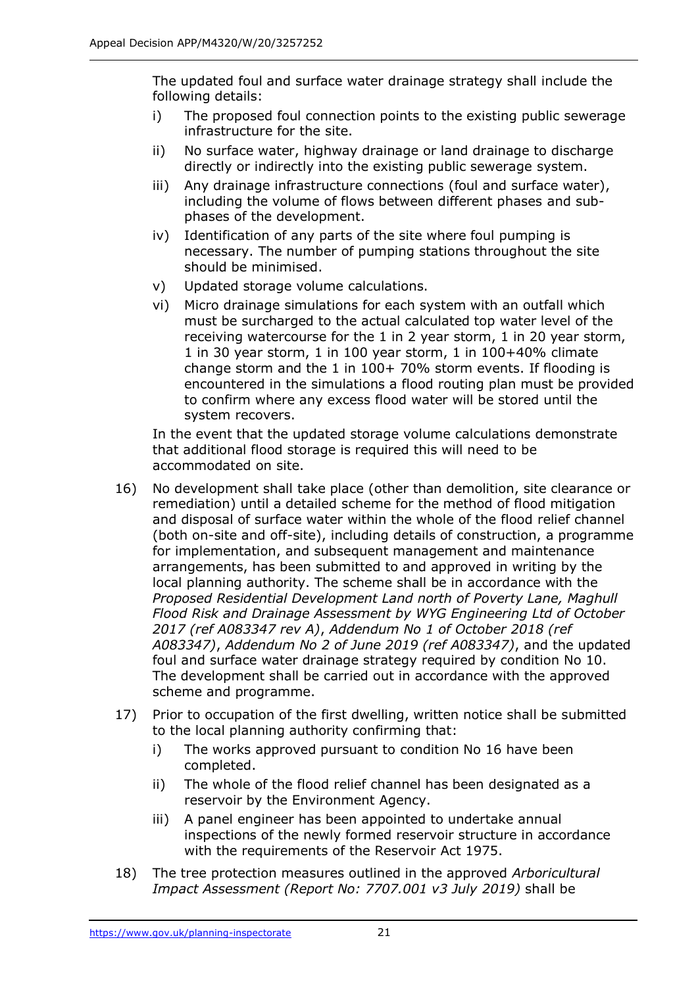The updated foul and surface water drainage strategy shall include the following details:

- i) The proposed foul connection points to the existing public sewerage infrastructure for the site.
- ii) No surface water, highway drainage or land drainage to discharge directly or indirectly into the existing public sewerage system.
- iii) Any drainage infrastructure connections (foul and surface water), including the volume of flows between different phases and subphases of the development.
- iv) Identification of any parts of the site where foul pumping is necessary. The number of pumping stations throughout the site should be minimised.
- v) Updated storage volume calculations.
- vi) Micro drainage simulations for each system with an outfall which must be surcharged to the actual calculated top water level of the receiving watercourse for the 1 in 2 year storm, 1 in 20 year storm, 1 in 30 year storm, 1 in 100 year storm, 1 in 100+40% climate change storm and the 1 in 100+ 70% storm events. If flooding is encountered in the simulations a flood routing plan must be provided to confirm where any excess flood water will be stored until the system recovers.

In the event that the updated storage volume calculations demonstrate that additional flood storage is required this will need to be accommodated on site.

- 16) No development shall take place (other than demolition, site clearance or remediation) until a detailed scheme for the method of flood mitigation and disposal of surface water within the whole of the flood relief channel (both on-site and off-site), including details of construction, a programme for implementation, and subsequent management and maintenance arrangements, has been submitted to and approved in writing by the local planning authority. The scheme shall be in accordance with the *Proposed Residential Development Land north of Poverty Lane, Maghull Flood Risk and Drainage Assessment by WYG Engineering Ltd of October 2017 (ref A083347 rev A)*, *Addendum No 1 of October 2018 (ref A083347)*, *Addendum No 2 of June 2019 (ref A083347)*, and the updated foul and surface water drainage strategy required by condition No 10. The development shall be carried out in accordance with the approved scheme and programme.
- 17) Prior to occupation of the first dwelling, written notice shall be submitted to the local planning authority confirming that:
	- i) The works approved pursuant to condition No 16 have been completed.
	- ii) The whole of the flood relief channel has been designated as a reservoir by the Environment Agency.
	- iii) A panel engineer has been appointed to undertake annual inspections of the newly formed reservoir structure in accordance with the requirements of the Reservoir Act 1975.
- 18) The tree protection measures outlined in the approved *Arboricultural Impact Assessment (Report No: 7707.001 v3 July 2019)* shall be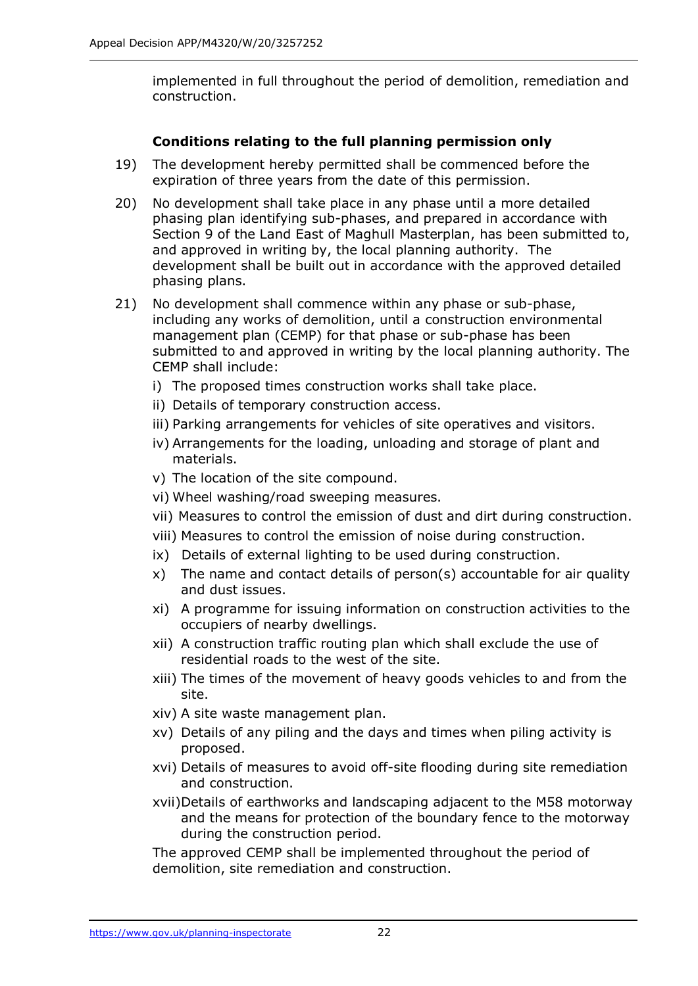implemented in full throughout the period of demolition, remediation and construction.

# **Conditions relating to the full planning permission only**

- 19) The development hereby permitted shall be commenced before the expiration of three years from the date of this permission.
- 20) No development shall take place in any phase until a more detailed phasing plan identifying sub-phases, and prepared in accordance with Section 9 of the Land East of Maghull Masterplan, has been submitted to, and approved in writing by, the local planning authority. The development shall be built out in accordance with the approved detailed phasing plans.
- 21) No development shall commence within any phase or sub-phase, including any works of demolition, until a construction environmental management plan (CEMP) for that phase or sub-phase has been submitted to and approved in writing by the local planning authority. The CEMP shall include:
	- i) The proposed times construction works shall take place.
	- ii) Details of temporary construction access.
	- iii) Parking arrangements for vehicles of site operatives and visitors.
	- iv) Arrangements for the loading, unloading and storage of plant and materials.
	- v) The location of the site compound.
	- vi) Wheel washing/road sweeping measures.
	- vii) Measures to control the emission of dust and dirt during construction.
	- viii) Measures to control the emission of noise during construction.
	- ix) Details of external lighting to be used during construction.
	- x) The name and contact details of person(s) accountable for air quality and dust issues.
	- xi) A programme for issuing information on construction activities to the occupiers of nearby dwellings.
	- xii) A construction traffic routing plan which shall exclude the use of residential roads to the west of the site.
	- xiii) The times of the movement of heavy goods vehicles to and from the site.
	- xiv) A site waste management plan.
	- xv) Details of any piling and the days and times when piling activity is proposed.
	- xvi) Details of measures to avoid off-site flooding during site remediation and construction.
	- xvii)Details of earthworks and landscaping adjacent to the M58 motorway and the means for protection of the boundary fence to the motorway during the construction period.

The approved CEMP shall be implemented throughout the period of demolition, site remediation and construction.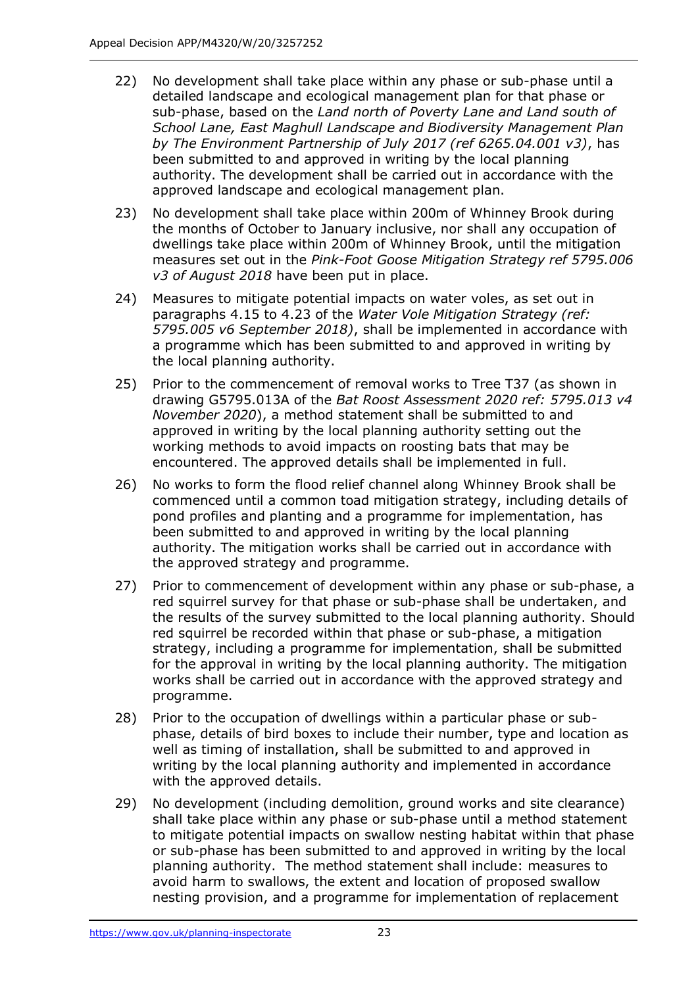- 22) No development shall take place within any phase or sub-phase until a detailed landscape and ecological management plan for that phase or sub-phase, based on the *Land north of Poverty Lane and Land south of School Lane, East Maghull Landscape and Biodiversity Management Plan by The Environment Partnership of July 2017 (ref 6265.04.001 v3)*, has been submitted to and approved in writing by the local planning authority. The development shall be carried out in accordance with the approved landscape and ecological management plan.
- 23) No development shall take place within 200m of Whinney Brook during the months of October to January inclusive, nor shall any occupation of dwellings take place within 200m of Whinney Brook, until the mitigation measures set out in the *Pink-Foot Goose Mitigation Strategy ref 5795.006 v3 of August 2018* have been put in place.
- 24) Measures to mitigate potential impacts on water voles, as set out in paragraphs 4.15 to 4.23 of the *Water Vole Mitigation Strategy (ref: 5795.005 v6 September 2018)*, shall be implemented in accordance with a programme which has been submitted to and approved in writing by the local planning authority.
- 25) Prior to the commencement of removal works to Tree T37 (as shown in drawing G5795.013A of the *Bat Roost Assessment 2020 ref: 5795.013 v4 November 2020*), a method statement shall be submitted to and approved in writing by the local planning authority setting out the working methods to avoid impacts on roosting bats that may be encountered. The approved details shall be implemented in full.
- 26) No works to form the flood relief channel along Whinney Brook shall be commenced until a common toad mitigation strategy, including details of pond profiles and planting and a programme for implementation, has been submitted to and approved in writing by the local planning authority. The mitigation works shall be carried out in accordance with the approved strategy and programme.
- 27) Prior to commencement of development within any phase or sub-phase, a red squirrel survey for that phase or sub-phase shall be undertaken, and the results of the survey submitted to the local planning authority. Should red squirrel be recorded within that phase or sub-phase, a mitigation strategy, including a programme for implementation, shall be submitted for the approval in writing by the local planning authority. The mitigation works shall be carried out in accordance with the approved strategy and programme.
- 28) Prior to the occupation of dwellings within a particular phase or subphase, details of bird boxes to include their number, type and location as well as timing of installation, shall be submitted to and approved in writing by the local planning authority and implemented in accordance with the approved details.
- 29) No development (including demolition, ground works and site clearance) shall take place within any phase or sub-phase until a method statement to mitigate potential impacts on swallow nesting habitat within that phase or sub-phase has been submitted to and approved in writing by the local planning authority. The method statement shall include: measures to avoid harm to swallows, the extent and location of proposed swallow nesting provision, and a programme for implementation of replacement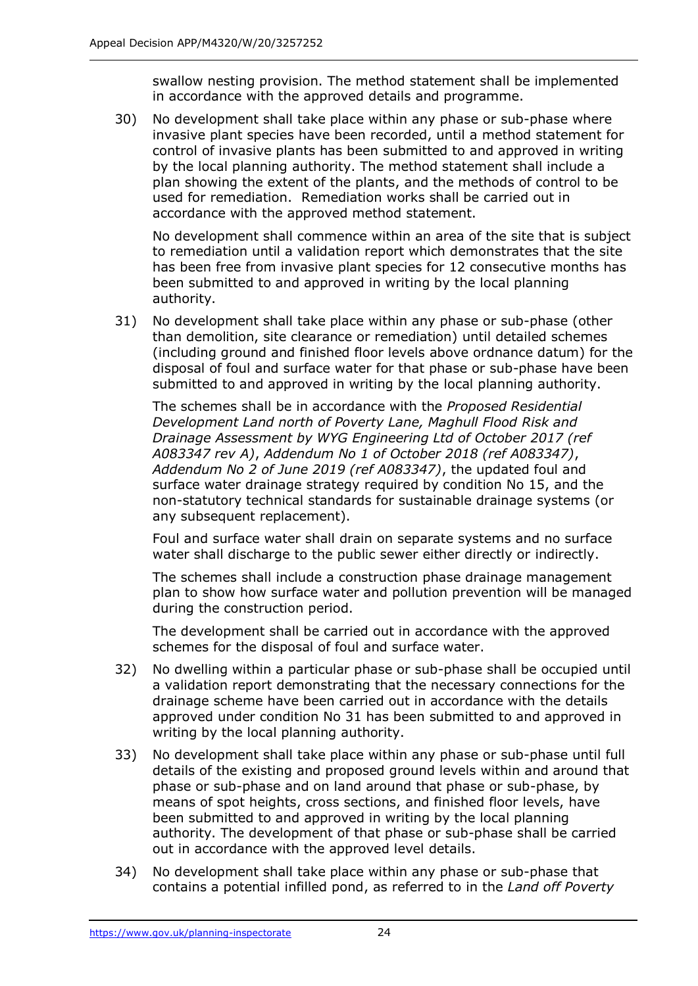swallow nesting provision. The method statement shall be implemented in accordance with the approved details and programme.

30) No development shall take place within any phase or sub-phase where invasive plant species have been recorded, until a method statement for control of invasive plants has been submitted to and approved in writing by the local planning authority. The method statement shall include a plan showing the extent of the plants, and the methods of control to be used for remediation. Remediation works shall be carried out in accordance with the approved method statement.

No development shall commence within an area of the site that is subject to remediation until a validation report which demonstrates that the site has been free from invasive plant species for 12 consecutive months has been submitted to and approved in writing by the local planning authority.

31) No development shall take place within any phase or sub-phase (other than demolition, site clearance or remediation) until detailed schemes (including ground and finished floor levels above ordnance datum) for the disposal of foul and surface water for that phase or sub-phase have been submitted to and approved in writing by the local planning authority.

The schemes shall be in accordance with the *Proposed Residential Development Land north of Poverty Lane, Maghull Flood Risk and Drainage Assessment by WYG Engineering Ltd of October 2017 (ref A083347 rev A)*, *Addendum No 1 of October 2018 (ref A083347)*, *Addendum No 2 of June 2019 (ref A083347)*, the updated foul and surface water drainage strategy required by condition No 15, and the non-statutory technical standards for sustainable drainage systems (or any subsequent replacement).

Foul and surface water shall drain on separate systems and no surface water shall discharge to the public sewer either directly or indirectly.

The schemes shall include a construction phase drainage management plan to show how surface water and pollution prevention will be managed during the construction period.

The development shall be carried out in accordance with the approved schemes for the disposal of foul and surface water.

- 32) No dwelling within a particular phase or sub-phase shall be occupied until a validation report demonstrating that the necessary connections for the drainage scheme have been carried out in accordance with the details approved under condition No 31 has been submitted to and approved in writing by the local planning authority.
- 33) No development shall take place within any phase or sub-phase until full details of the existing and proposed ground levels within and around that phase or sub-phase and on land around that phase or sub-phase, by means of spot heights, cross sections, and finished floor levels, have been submitted to and approved in writing by the local planning authority. The development of that phase or sub-phase shall be carried out in accordance with the approved level details.
- 34) No development shall take place within any phase or sub-phase that contains a potential infilled pond, as referred to in the *Land off Poverty*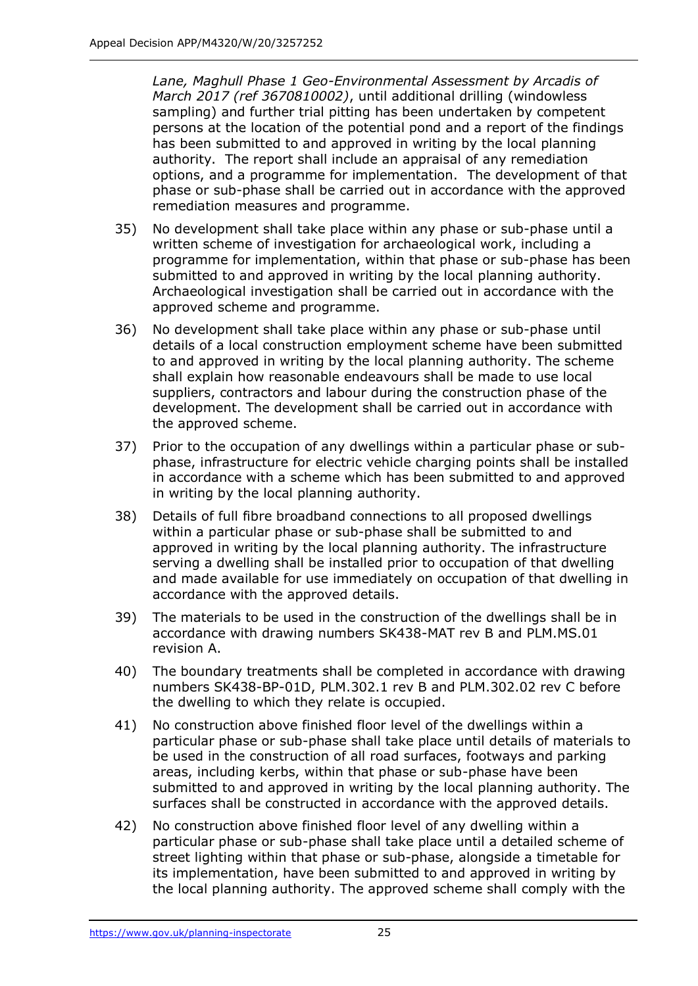*Lane, Maghull Phase 1 Geo-Environmental Assessment by Arcadis of March 2017 (ref 3670810002)*, until additional drilling (windowless sampling) and further trial pitting has been undertaken by competent persons at the location of the potential pond and a report of the findings has been submitted to and approved in writing by the local planning authority. The report shall include an appraisal of any remediation options, and a programme for implementation. The development of that phase or sub-phase shall be carried out in accordance with the approved remediation measures and programme.

- 35) No development shall take place within any phase or sub-phase until a written scheme of investigation for archaeological work, including a programme for implementation, within that phase or sub-phase has been submitted to and approved in writing by the local planning authority. Archaeological investigation shall be carried out in accordance with the approved scheme and programme.
- 36) No development shall take place within any phase or sub-phase until details of a local construction employment scheme have been submitted to and approved in writing by the local planning authority. The scheme shall explain how reasonable endeavours shall be made to use local suppliers, contractors and labour during the construction phase of the development. The development shall be carried out in accordance with the approved scheme.
- 37) Prior to the occupation of any dwellings within a particular phase or subphase, infrastructure for electric vehicle charging points shall be installed in accordance with a scheme which has been submitted to and approved in writing by the local planning authority.
- 38) Details of full fibre broadband connections to all proposed dwellings within a particular phase or sub-phase shall be submitted to and approved in writing by the local planning authority. The infrastructure serving a dwelling shall be installed prior to occupation of that dwelling and made available for use immediately on occupation of that dwelling in accordance with the approved details.
- 39) The materials to be used in the construction of the dwellings shall be in accordance with drawing numbers SK438-MAT rev B and PLM.MS.01 revision A.
- 40) The boundary treatments shall be completed in accordance with drawing numbers SK438-BP-01D, PLM.302.1 rev B and PLM.302.02 rev C before the dwelling to which they relate is occupied.
- 41) No construction above finished floor level of the dwellings within a particular phase or sub-phase shall take place until details of materials to be used in the construction of all road surfaces, footways and parking areas, including kerbs, within that phase or sub-phase have been submitted to and approved in writing by the local planning authority. The surfaces shall be constructed in accordance with the approved details.
- 42) No construction above finished floor level of any dwelling within a particular phase or sub-phase shall take place until a detailed scheme of street lighting within that phase or sub-phase, alongside a timetable for its implementation, have been submitted to and approved in writing by the local planning authority. The approved scheme shall comply with the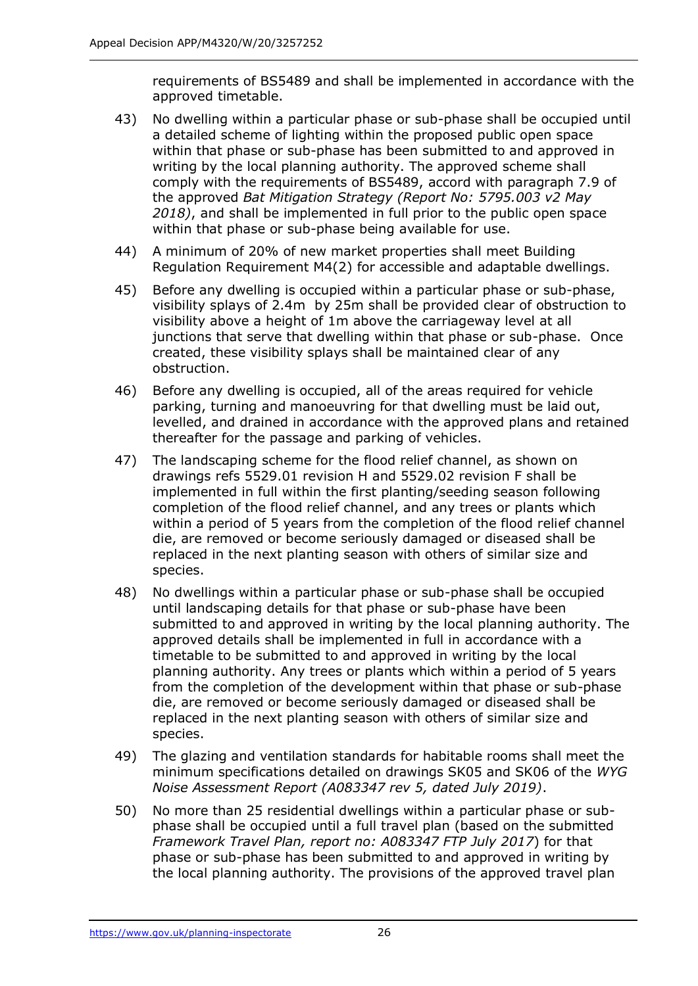requirements of BS5489 and shall be implemented in accordance with the approved timetable.

- 43) No dwelling within a particular phase or sub-phase shall be occupied until a detailed scheme of lighting within the proposed public open space within that phase or sub-phase has been submitted to and approved in writing by the local planning authority. The approved scheme shall comply with the requirements of BS5489, accord with paragraph 7.9 of the approved *Bat Mitigation Strategy (Report No: 5795.003 v2 May 2018)*, and shall be implemented in full prior to the public open space within that phase or sub-phase being available for use.
- 44) A minimum of 20% of new market properties shall meet Building Regulation Requirement M4(2) for accessible and adaptable dwellings.
- 45) Before any dwelling is occupied within a particular phase or sub-phase, visibility splays of 2.4m by 25m shall be provided clear of obstruction to visibility above a height of 1m above the carriageway level at all junctions that serve that dwelling within that phase or sub-phase. Once created, these visibility splays shall be maintained clear of any obstruction.
- 46) Before any dwelling is occupied, all of the areas required for vehicle parking, turning and manoeuvring for that dwelling must be laid out, levelled, and drained in accordance with the approved plans and retained thereafter for the passage and parking of vehicles.
- 47) The landscaping scheme for the flood relief channel, as shown on drawings refs 5529.01 revision H and 5529.02 revision F shall be implemented in full within the first planting/seeding season following completion of the flood relief channel, and any trees or plants which within a period of 5 years from the completion of the flood relief channel die, are removed or become seriously damaged or diseased shall be replaced in the next planting season with others of similar size and species.
- 48) No dwellings within a particular phase or sub-phase shall be occupied until landscaping details for that phase or sub-phase have been submitted to and approved in writing by the local planning authority. The approved details shall be implemented in full in accordance with a timetable to be submitted to and approved in writing by the local planning authority. Any trees or plants which within a period of 5 years from the completion of the development within that phase or sub-phase die, are removed or become seriously damaged or diseased shall be replaced in the next planting season with others of similar size and species.
- 49) The glazing and ventilation standards for habitable rooms shall meet the minimum specifications detailed on drawings SK05 and SK06 of the *WYG Noise Assessment Report (A083347 rev 5, dated July 2019)*.
- 50) No more than 25 residential dwellings within a particular phase or subphase shall be occupied until a full travel plan (based on the submitted *Framework Travel Plan, report no: A083347 FTP July 2017*) for that phase or sub-phase has been submitted to and approved in writing by the local planning authority. The provisions of the approved travel plan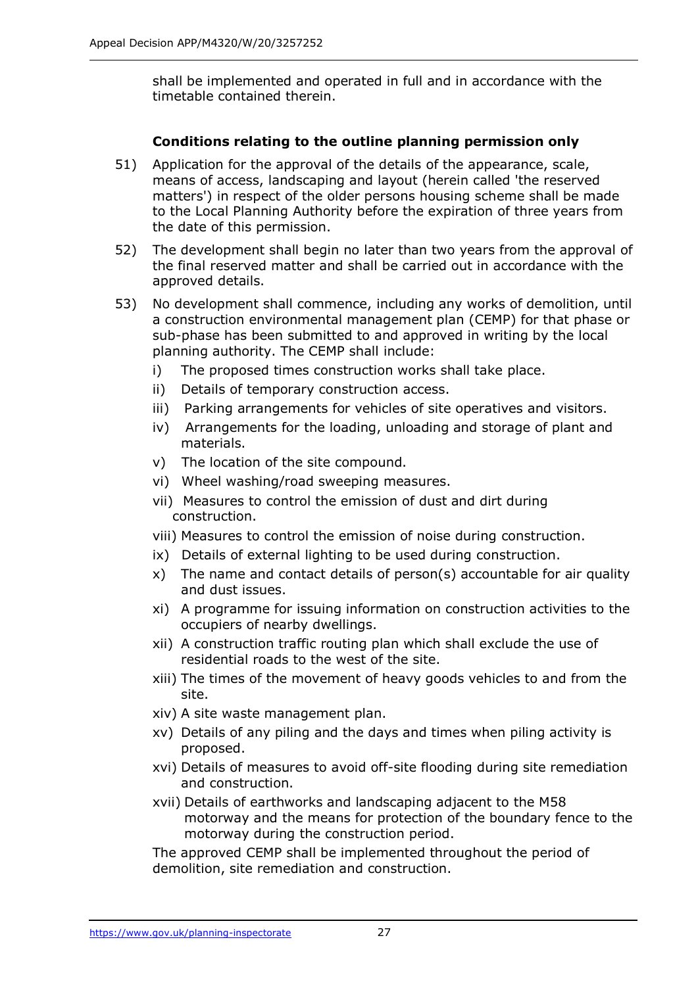shall be implemented and operated in full and in accordance with the timetable contained therein.

# **Conditions relating to the outline planning permission only**

- 51) Application for the approval of the details of the appearance, scale, means of access, landscaping and layout (herein called 'the reserved matters') in respect of the older persons housing scheme shall be made to the Local Planning Authority before the expiration of three years from the date of this permission.
- 52) The development shall begin no later than two years from the approval of the final reserved matter and shall be carried out in accordance with the approved details.
- 53) No development shall commence, including any works of demolition, until a construction environmental management plan (CEMP) for that phase or sub-phase has been submitted to and approved in writing by the local planning authority. The CEMP shall include:
	- i) The proposed times construction works shall take place.
	- ii) Details of temporary construction access.
	- iii) Parking arrangements for vehicles of site operatives and visitors.
	- iv) Arrangements for the loading, unloading and storage of plant and materials.
	- v) The location of the site compound.
	- vi) Wheel washing/road sweeping measures.
	- vii) Measures to control the emission of dust and dirt during construction.
	- viii) Measures to control the emission of noise during construction.
	- ix) Details of external lighting to be used during construction.
	- x) The name and contact details of person(s) accountable for air quality and dust issues.
	- xi) A programme for issuing information on construction activities to the occupiers of nearby dwellings.
	- xii) A construction traffic routing plan which shall exclude the use of residential roads to the west of the site.
	- xiii) The times of the movement of heavy goods vehicles to and from the site.
	- xiv) A site waste management plan.
	- xv) Details of any piling and the days and times when piling activity is proposed.
	- xvi) Details of measures to avoid off-site flooding during site remediation and construction.
	- xvii) Details of earthworks and landscaping adjacent to the M58 motorway and the means for protection of the boundary fence to the motorway during the construction period.

The approved CEMP shall be implemented throughout the period of demolition, site remediation and construction.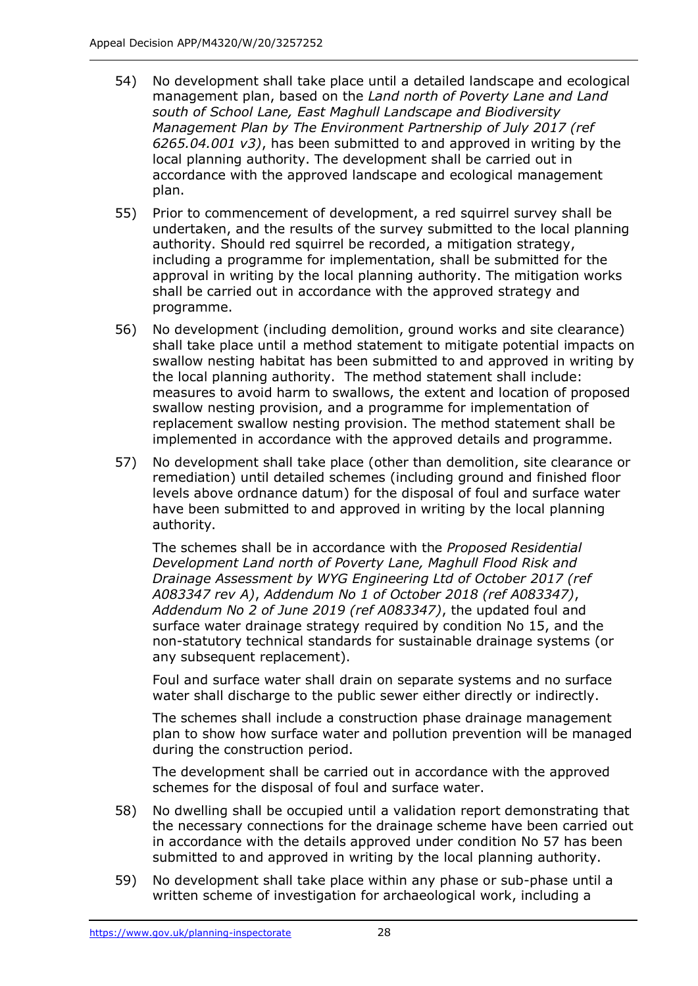- 54) No development shall take place until a detailed landscape and ecological management plan, based on the *Land north of Poverty Lane and Land south of School Lane, East Maghull Landscape and Biodiversity Management Plan by The Environment Partnership of July 2017 (ref 6265.04.001 v3)*, has been submitted to and approved in writing by the local planning authority. The development shall be carried out in accordance with the approved landscape and ecological management plan.
- 55) Prior to commencement of development, a red squirrel survey shall be undertaken, and the results of the survey submitted to the local planning authority. Should red squirrel be recorded, a mitigation strategy, including a programme for implementation, shall be submitted for the approval in writing by the local planning authority. The mitigation works shall be carried out in accordance with the approved strategy and programme.
- 56) No development (including demolition, ground works and site clearance) shall take place until a method statement to mitigate potential impacts on swallow nesting habitat has been submitted to and approved in writing by the local planning authority. The method statement shall include: measures to avoid harm to swallows, the extent and location of proposed swallow nesting provision, and a programme for implementation of replacement swallow nesting provision. The method statement shall be implemented in accordance with the approved details and programme.
- 57) No development shall take place (other than demolition, site clearance or remediation) until detailed schemes (including ground and finished floor levels above ordnance datum) for the disposal of foul and surface water have been submitted to and approved in writing by the local planning authority.

The schemes shall be in accordance with the *Proposed Residential Development Land north of Poverty Lane, Maghull Flood Risk and Drainage Assessment by WYG Engineering Ltd of October 2017 (ref A083347 rev A)*, *Addendum No 1 of October 2018 (ref A083347)*, *Addendum No 2 of June 2019 (ref A083347)*, the updated foul and surface water drainage strategy required by condition No 15, and the non-statutory technical standards for sustainable drainage systems (or any subsequent replacement).

Foul and surface water shall drain on separate systems and no surface water shall discharge to the public sewer either directly or indirectly.

The schemes shall include a construction phase drainage management plan to show how surface water and pollution prevention will be managed during the construction period.

The development shall be carried out in accordance with the approved schemes for the disposal of foul and surface water.

- 58) No dwelling shall be occupied until a validation report demonstrating that the necessary connections for the drainage scheme have been carried out in accordance with the details approved under condition No 57 has been submitted to and approved in writing by the local planning authority.
- 59) No development shall take place within any phase or sub-phase until a written scheme of investigation for archaeological work, including a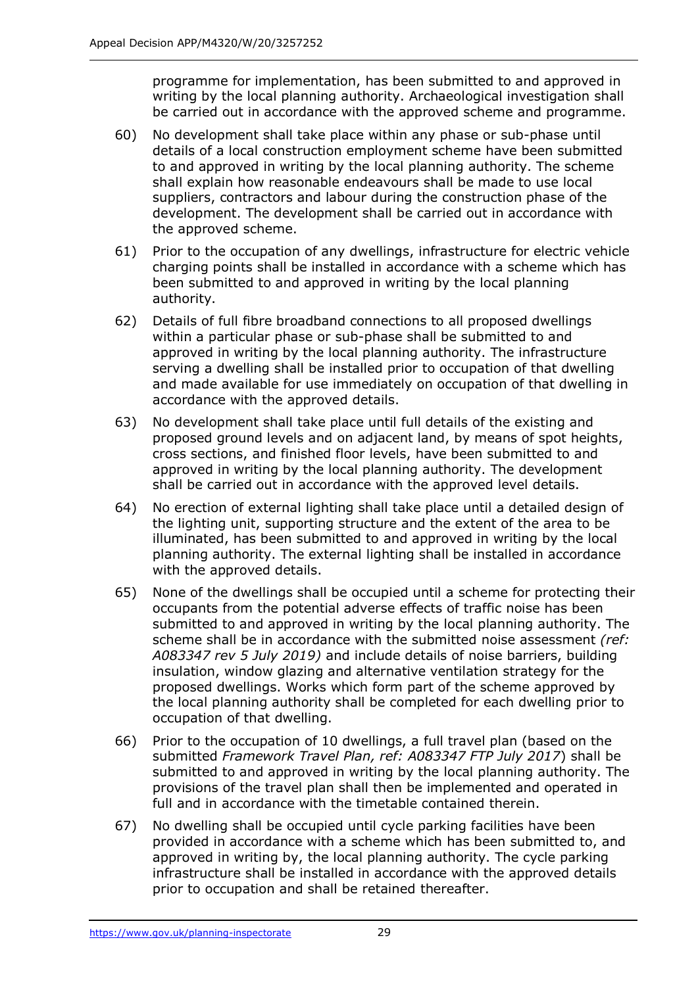programme for implementation, has been submitted to and approved in writing by the local planning authority. Archaeological investigation shall be carried out in accordance with the approved scheme and programme.

- 60) No development shall take place within any phase or sub-phase until details of a local construction employment scheme have been submitted to and approved in writing by the local planning authority. The scheme shall explain how reasonable endeavours shall be made to use local suppliers, contractors and labour during the construction phase of the development. The development shall be carried out in accordance with the approved scheme.
- 61) Prior to the occupation of any dwellings, infrastructure for electric vehicle charging points shall be installed in accordance with a scheme which has been submitted to and approved in writing by the local planning authority.
- 62) Details of full fibre broadband connections to all proposed dwellings within a particular phase or sub-phase shall be submitted to and approved in writing by the local planning authority. The infrastructure serving a dwelling shall be installed prior to occupation of that dwelling and made available for use immediately on occupation of that dwelling in accordance with the approved details.
- 63) No development shall take place until full details of the existing and proposed ground levels and on adjacent land, by means of spot heights, cross sections, and finished floor levels, have been submitted to and approved in writing by the local planning authority. The development shall be carried out in accordance with the approved level details.
- 64) No erection of external lighting shall take place until a detailed design of the lighting unit, supporting structure and the extent of the area to be illuminated, has been submitted to and approved in writing by the local planning authority. The external lighting shall be installed in accordance with the approved details.
- 65) None of the dwellings shall be occupied until a scheme for protecting their occupants from the potential adverse effects of traffic noise has been submitted to and approved in writing by the local planning authority. The scheme shall be in accordance with the submitted noise assessment *(ref: A083347 rev 5 July 2019)* and include details of noise barriers, building insulation, window glazing and alternative ventilation strategy for the proposed dwellings. Works which form part of the scheme approved by the local planning authority shall be completed for each dwelling prior to occupation of that dwelling.
- 66) Prior to the occupation of 10 dwellings, a full travel plan (based on the submitted *Framework Travel Plan, ref: A083347 FTP July 2017*) shall be submitted to and approved in writing by the local planning authority. The provisions of the travel plan shall then be implemented and operated in full and in accordance with the timetable contained therein.
- 67) No dwelling shall be occupied until cycle parking facilities have been provided in accordance with a scheme which has been submitted to, and approved in writing by, the local planning authority. The cycle parking infrastructure shall be installed in accordance with the approved details prior to occupation and shall be retained thereafter.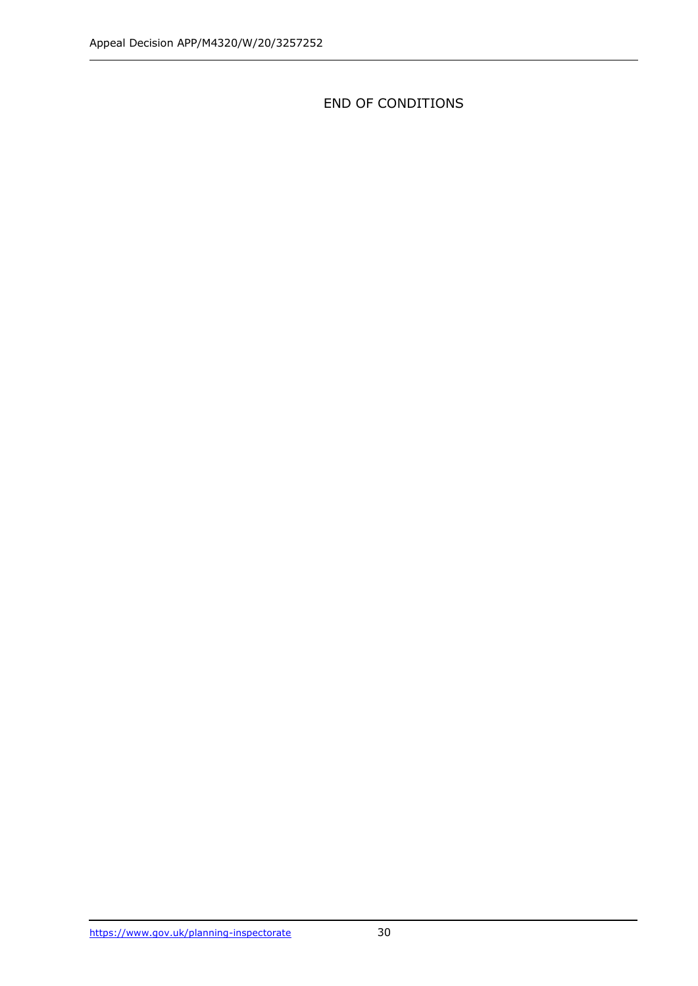END OF CONDITIONS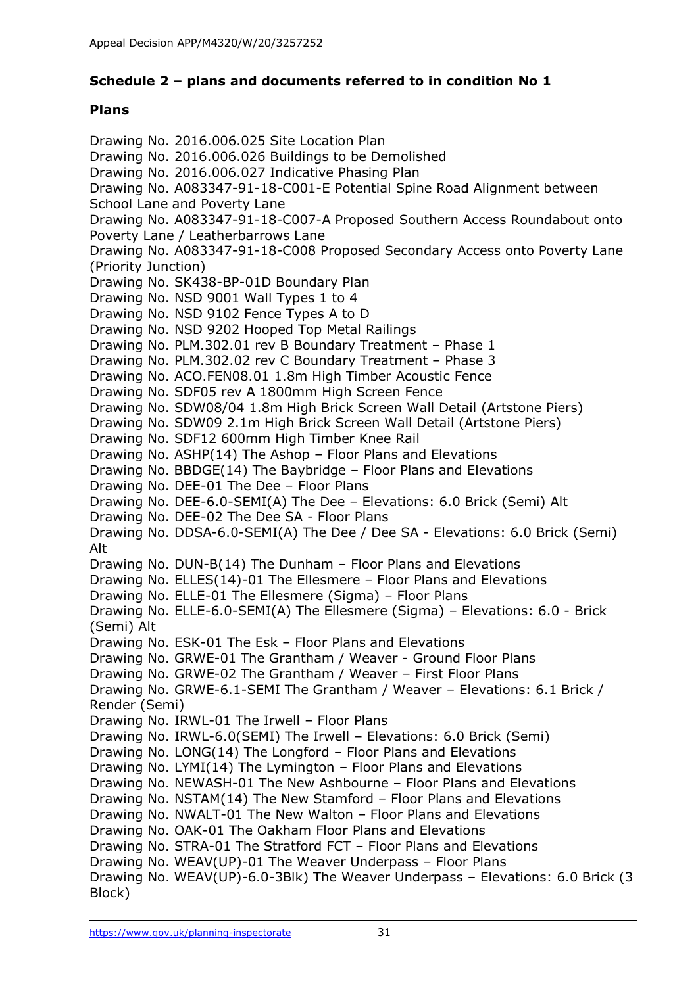# **Schedule 2 – plans and documents referred to in condition No 1**

# **Plans**

Drawing No. 2016.006.025 Site Location Plan Drawing No. 2016.006.026 Buildings to be Demolished Drawing No. 2016.006.027 Indicative Phasing Plan Drawing No. A083347-91-18-C001-E Potential Spine Road Alignment between School Lane and Poverty Lane Drawing No. A083347-91-18-C007-A Proposed Southern Access Roundabout onto Poverty Lane / Leatherbarrows Lane Drawing No. A083347-91-18-C008 Proposed Secondary Access onto Poverty Lane (Priority Junction) Drawing No. SK438-BP-01D Boundary Plan Drawing No. NSD 9001 Wall Types 1 to 4 Drawing No. NSD 9102 Fence Types A to D Drawing No. NSD 9202 Hooped Top Metal Railings Drawing No. PLM.302.01 rev B Boundary Treatment – Phase 1 Drawing No. PLM.302.02 rev C Boundary Treatment – Phase 3 Drawing No. ACO.FEN08.01 1.8m High Timber Acoustic Fence Drawing No. SDF05 rev A 1800mm High Screen Fence Drawing No. SDW08/04 1.8m High Brick Screen Wall Detail (Artstone Piers) Drawing No. SDW09 2.1m High Brick Screen Wall Detail (Artstone Piers) Drawing No. SDF12 600mm High Timber Knee Rail Drawing No. ASHP(14) The Ashop – Floor Plans and Elevations Drawing No. BBDGE(14) The Baybridge – Floor Plans and Elevations Drawing No. DEE-01 The Dee – Floor Plans Drawing No. DEE-6.0-SEMI(A) The Dee – Elevations: 6.0 Brick (Semi) Alt Drawing No. DEE-02 The Dee SA - Floor Plans Drawing No. DDSA-6.0-SEMI(A) The Dee / Dee SA - Elevations: 6.0 Brick (Semi) Alt Drawing No. DUN-B(14) The Dunham – Floor Plans and Elevations Drawing No. ELLES(14)-01 The Ellesmere – Floor Plans and Elevations Drawing No. ELLE-01 The Ellesmere (Sigma) – Floor Plans Drawing No. ELLE-6.0-SEMI(A) The Ellesmere (Sigma) – Elevations: 6.0 - Brick (Semi) Alt Drawing No. ESK-01 The Esk – Floor Plans and Elevations Drawing No. GRWE-01 The Grantham / Weaver - Ground Floor Plans Drawing No. GRWE-02 The Grantham / Weaver – First Floor Plans Drawing No. GRWE-6.1-SEMI The Grantham / Weaver – Elevations: 6.1 Brick / Render (Semi) Drawing No. IRWL-01 The Irwell – Floor Plans Drawing No. IRWL-6.0(SEMI) The Irwell – Elevations: 6.0 Brick (Semi) Drawing No. LONG(14) The Longford – Floor Plans and Elevations Drawing No. LYMI(14) The Lymington – Floor Plans and Elevations Drawing No. NEWASH-01 The New Ashbourne – Floor Plans and Elevations Drawing No. NSTAM(14) The New Stamford – Floor Plans and Elevations Drawing No. NWALT-01 The New Walton – Floor Plans and Elevations Drawing No. OAK-01 The Oakham Floor Plans and Elevations Drawing No. STRA-01 The Stratford FCT – Floor Plans and Elevations Drawing No. WEAV(UP)-01 The Weaver Underpass – Floor Plans Drawing No. WEAV(UP)-6.0-3Blk) The Weaver Underpass – Elevations: 6.0 Brick (3 Block)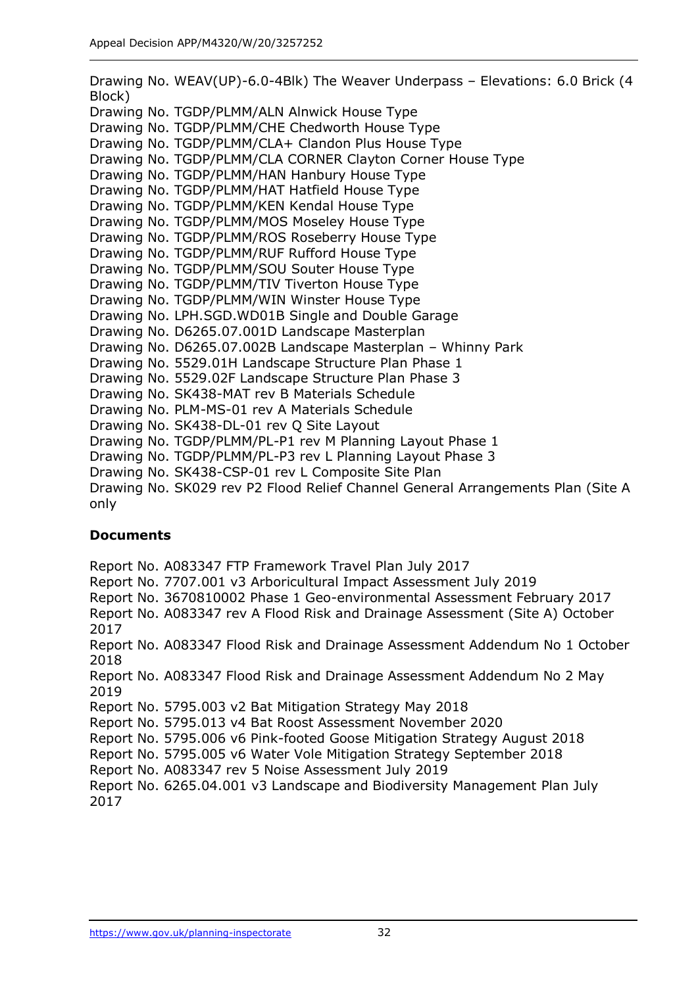Drawing No. WEAV(UP)-6.0-4Blk) The Weaver Underpass – Elevations: 6.0 Brick (4 Block) Drawing No. TGDP/PLMM/ALN Alnwick House Type Drawing No. TGDP/PLMM/CHE Chedworth House Type Drawing No. TGDP/PLMM/CLA+ Clandon Plus House Type Drawing No. TGDP/PLMM/CLA CORNER Clayton Corner House Type Drawing No. TGDP/PLMM/HAN Hanbury House Type Drawing No. TGDP/PLMM/HAT Hatfield House Type Drawing No. TGDP/PLMM/KEN Kendal House Type Drawing No. TGDP/PLMM/MOS Moseley House Type Drawing No. TGDP/PLMM/ROS Roseberry House Type Drawing No. TGDP/PLMM/RUF Rufford House Type Drawing No. TGDP/PLMM/SOU Souter House Type Drawing No. TGDP/PLMM/TIV Tiverton House Type Drawing No. TGDP/PLMM/WIN Winster House Type Drawing No. LPH.SGD.WD01B Single and Double Garage Drawing No. D6265.07.001D Landscape Masterplan Drawing No. D6265.07.002B Landscape Masterplan – Whinny Park Drawing No. 5529.01H Landscape Structure Plan Phase 1 Drawing No. 5529.02F Landscape Structure Plan Phase 3 Drawing No. SK438-MAT rev B Materials Schedule Drawing No. PLM-MS-01 rev A Materials Schedule Drawing No. SK438-DL-01 rev Q Site Layout Drawing No. TGDP/PLMM/PL-P1 rev M Planning Layout Phase 1 Drawing No. TGDP/PLMM/PL-P3 rev L Planning Layout Phase 3 Drawing No. SK438-CSP-01 rev L Composite Site Plan Drawing No. SK029 rev P2 Flood Relief Channel General Arrangements Plan (Site A only

# **Documents**

Report No. A083347 FTP Framework Travel Plan July 2017 Report No. 7707.001 v3 Arboricultural Impact Assessment July 2019 Report No. 3670810002 Phase 1 Geo-environmental Assessment February 2017 Report No. A083347 rev A Flood Risk and Drainage Assessment (Site A) October 2017 Report No. A083347 Flood Risk and Drainage Assessment Addendum No 1 October 2018 Report No. A083347 Flood Risk and Drainage Assessment Addendum No 2 May 2019 Report No. 5795.003 v2 Bat Mitigation Strategy May 2018 Report No. 5795.013 v4 Bat Roost Assessment November 2020 Report No. 5795.006 v6 Pink-footed Goose Mitigation Strategy August 2018 Report No. 5795.005 v6 Water Vole Mitigation Strategy September 2018 Report No. A083347 rev 5 Noise Assessment July 2019 Report No. 6265.04.001 v3 Landscape and Biodiversity Management Plan July 2017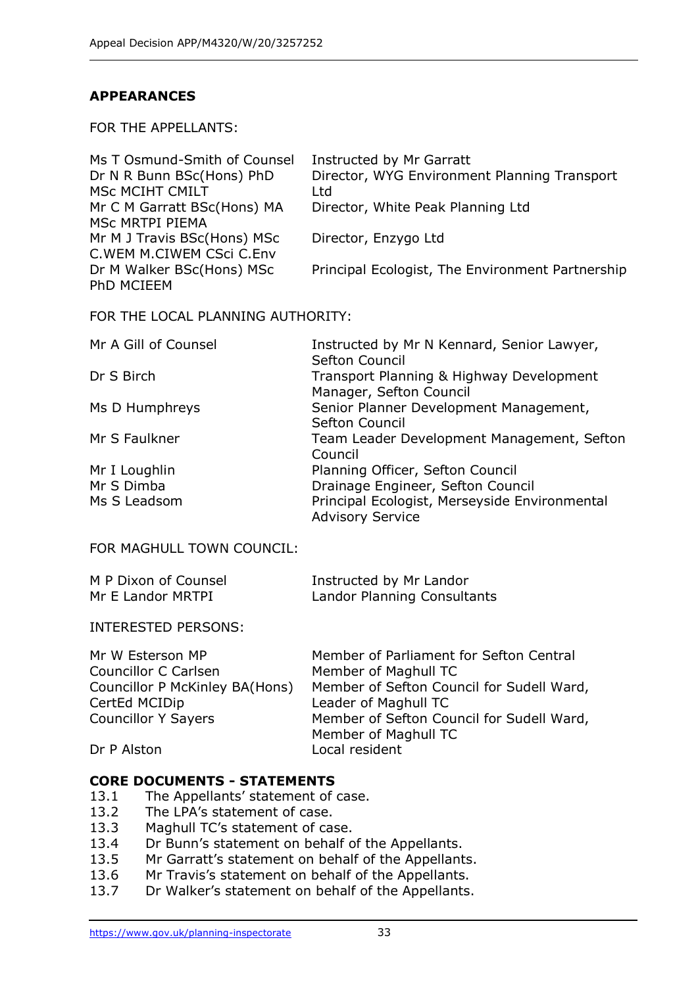# **APPEARANCES**

FOR THE APPELLANTS:

| Ms T Osmund-Smith of Counsel | Instructed by Mr Garratt                         |
|------------------------------|--------------------------------------------------|
| Dr N R Bunn BSc(Hons) PhD    | Director, WYG Environment Planning Transport     |
| <b>MSC MCIHT CMILT</b>       | Ltd                                              |
| Mr C M Garratt BSc(Hons) MA  | Director, White Peak Planning Ltd                |
| MSc MRTPI PIEMA              |                                                  |
| Mr M J Travis BSc(Hons) MSc  | Director, Enzygo Ltd                             |
| C. WEM M. CIWEM CSci C. Env  |                                                  |
| Dr M Walker BSc(Hons) MSc    | Principal Ecologist, The Environment Partnership |
| PhD MCIEEM                   |                                                  |
|                              |                                                  |

FOR THE LOCAL PLANNING AUTHORITY:

| Mr A Gill of Counsel | Instructed by Mr N Kennard, Senior Lawyer,    |
|----------------------|-----------------------------------------------|
|                      | Sefton Council                                |
| Dr S Birch           | Transport Planning & Highway Development      |
|                      | Manager, Sefton Council                       |
| Ms D Humphreys       | Senior Planner Development Management,        |
|                      | Sefton Council                                |
| Mr S Faulkner        | Team Leader Development Management, Sefton    |
|                      | Council                                       |
| Mr I Loughlin        | Planning Officer, Sefton Council              |
| Mr S Dimba           | Drainage Engineer, Sefton Council             |
| Ms S Leadsom         | Principal Ecologist, Merseyside Environmental |
|                      | <b>Advisory Service</b>                       |

FOR MAGHULL TOWN COUNCIL:

| M P Dixon of Counsel | Instructed by Mr Landor     |
|----------------------|-----------------------------|
| Mr E Landor MRTPI    | Landor Planning Consultants |

INTERESTED PERSONS:

| Mr W Esterson MP               | Member of Parliament for Sefton Central   |
|--------------------------------|-------------------------------------------|
| Councillor C Carlsen           | Member of Maghull TC                      |
| Councillor P McKinley BA(Hons) | Member of Sefton Council for Sudell Ward, |
| CertEd MCIDip                  | Leader of Maghull TC                      |
| <b>Councillor Y Sayers</b>     | Member of Sefton Council for Sudell Ward, |
|                                | Member of Maghull TC                      |
| Dr P Alston                    | Local resident                            |

## **CORE DOCUMENTS - STATEMENTS**

- 13.1 The Appellants' statement of case.
- 13.2 The LPA's statement of case.
- 13.3 Maghull TC's statement of case.
- 13.4 Dr Bunn's statement on behalf of the Appellants.
- 13.5 Mr Garratt's statement on behalf of the Appellants.
- 13.6 Mr Travis's statement on behalf of the Appellants.
- 13.7 Dr Walker's statement on behalf of the Appellants.